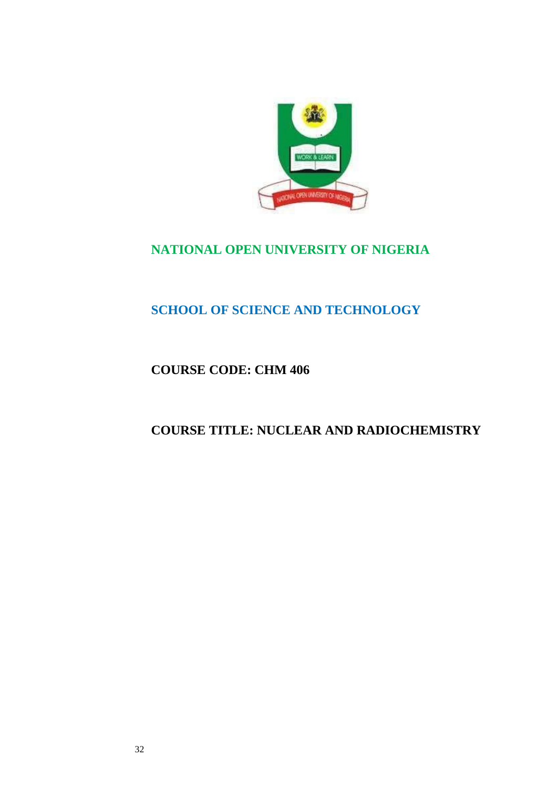

# **NATIONAL OPEN UNIVERSITY OF NIGERIA**

# **SCHOOL OF SCIENCE AND TECHNOLOGY**

# **COURSE CODE: CHM 406**

# **COURSE TITLE: NUCLEAR AND RADIOCHEMISTRY**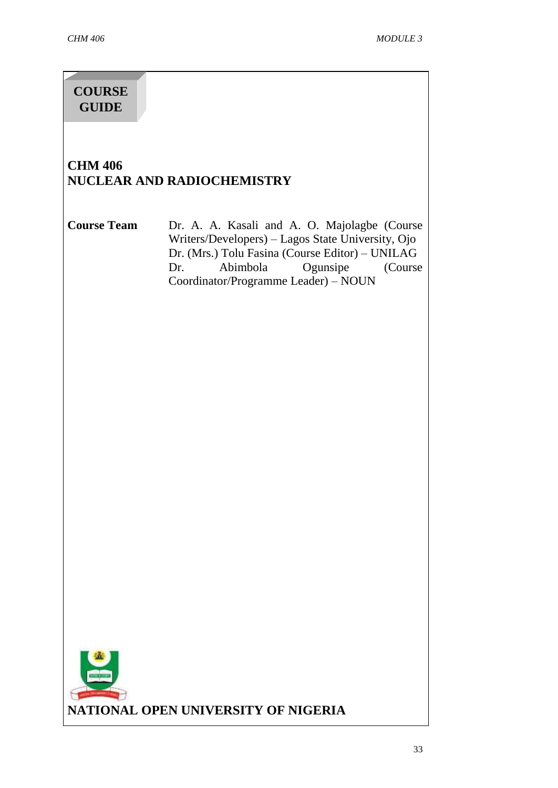# **COURSE GUIDE**

# **CHM 406 NUCLEAR AND RADIOCHEMISTRY**

**Course Team** Dr. A. A. Kasali and A. O. Majolagbe (Course Writers/Developers) – Lagos State University, Ojo Dr. (Mrs.) Tolu Fasina (Course Editor) – UNILAG Dr. Abimbola Ogunsipe (Course Coordinator/Programme Leader) – NOUN

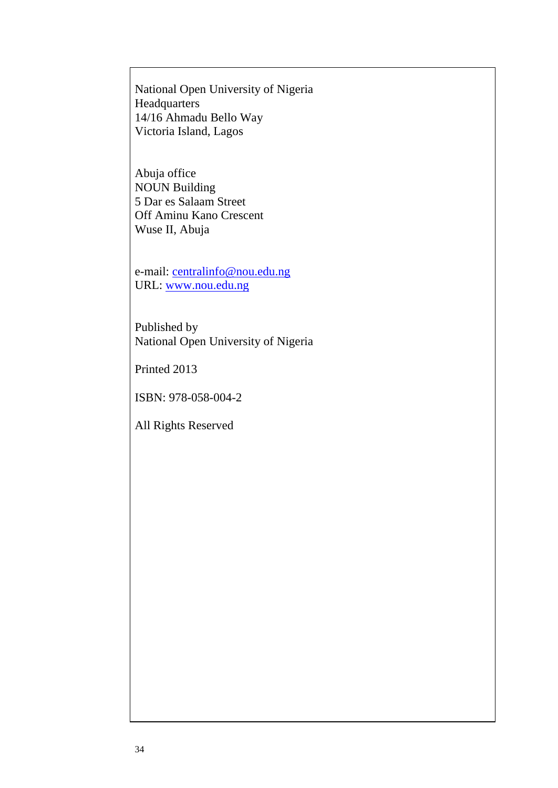National Open University of Nigeria **Headquarters** 14/16 Ahmadu Bello Way Victoria Island, Lagos

Abuja office NOUN Building 5 Dar es Salaam Street Off Aminu Kano Crescent Wuse II, Abuja

e-mail: [centralinfo@nou.edu.ng](mailto:centralinfo@nou.edu.ng) URL: [www.nou.edu.ng](http://www.nou.edu.ng/)

Published by National Open University of Nigeria

Printed 2013

ISBN: 978-058-004-2

All Rights Reserved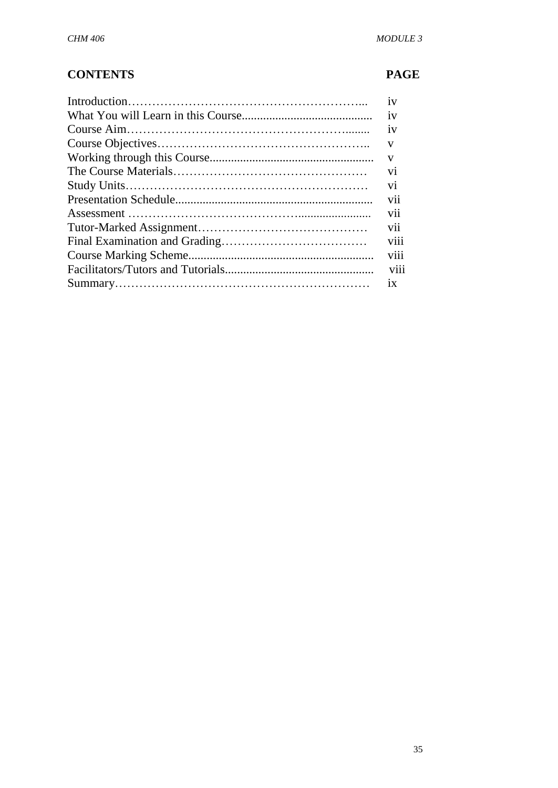# **CONTENTS PAGE**

| 1V             |
|----------------|
| 1V             |
| 1V             |
| V              |
| V              |
| V <sub>1</sub> |
| V1             |
| vii            |
| V11            |
| vii            |
| V111           |
| viii           |
| <b>V111</b>    |
| 1X             |
|                |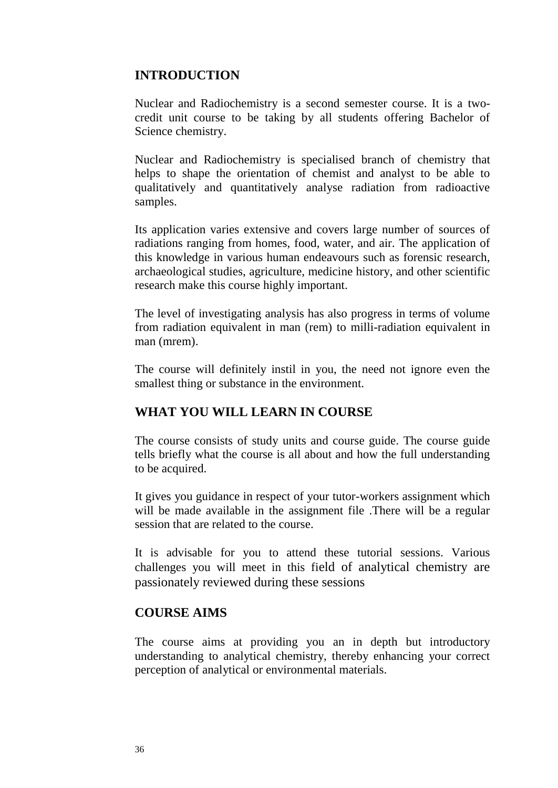## **INTRODUCTION**

Nuclear and Radiochemistry is a second semester course. It is a twocredit unit course to be taking by all students offering Bachelor of Science chemistry.

Nuclear and Radiochemistry is specialised branch of chemistry that helps to shape the orientation of chemist and analyst to be able to qualitatively and quantitatively analyse radiation from radioactive samples.

Its application varies extensive and covers large number of sources of radiations ranging from homes, food, water, and air. The application of this knowledge in various human endeavours such as forensic research, archaeological studies, agriculture, medicine history, and other scientific research make this course highly important.

The level of investigating analysis has also progress in terms of volume from radiation equivalent in man (rem) to milli-radiation equivalent in man (mrem).

The course will definitely instil in you, the need not ignore even the smallest thing or substance in the environment.

## **WHAT YOU WILL LEARN IN COURSE**

The course consists of study units and course guide. The course guide tells briefly what the course is all about and how the full understanding to be acquired.

It gives you guidance in respect of your tutor-workers assignment which will be made available in the assignment file .There will be a regular session that are related to the course.

It is advisable for you to attend these tutorial sessions. Various challenges you will meet in this field of analytical chemistry are passionately reviewed during these sessions

#### **COURSE AIMS**

The course aims at providing you an in depth but introductory understanding to analytical chemistry, thereby enhancing your correct perception of analytical or environmental materials.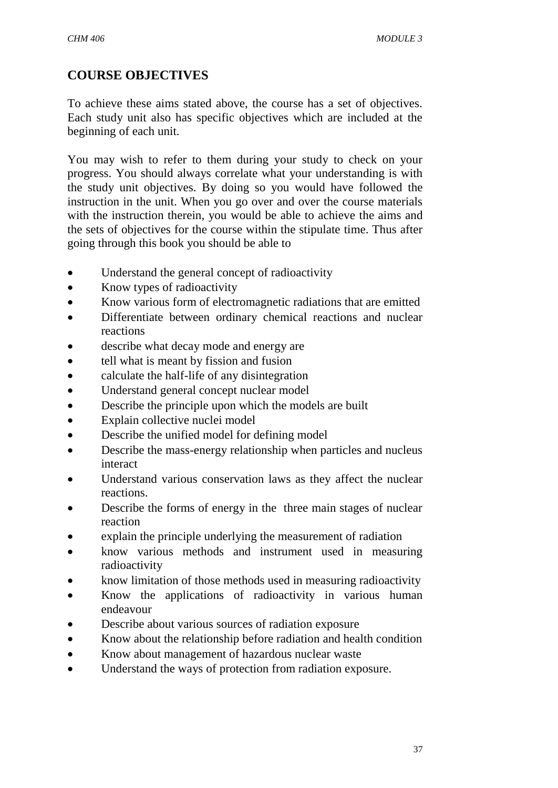# **COURSE OBJECTIVES**

To achieve these aims stated above, the course has a set of objectives. Each study unit also has specific objectives which are included at the beginning of each unit.

You may wish to refer to them during your study to check on your progress. You should always correlate what your understanding is with the study unit objectives. By doing so you would have followed the instruction in the unit. When you go over and over the course materials with the instruction therein, you would be able to achieve the aims and the sets of objectives for the course within the stipulate time. Thus after going through this book you should be able to

- Understand the general concept of radioactivity
- Know types of radioactivity
- Know various form of electromagnetic radiations that are emitted
- Differentiate between ordinary chemical reactions and nuclear reactions
- describe what decay mode and energy are
- tell what is meant by fission and fusion
- calculate the half-life of any disintegration
- Understand general concept nuclear model
- Describe the principle upon which the models are built
- Explain collective nuclei model
- Describe the unified model for defining model
- Describe the mass-energy relationship when particles and nucleus interact
- Understand various conservation laws as they affect the nuclear reactions.
- Describe the forms of energy in the three main stages of nuclear reaction
- explain the principle underlying the measurement of radiation
- know various methods and instrument used in measuring radioactivity
- know limitation of those methods used in measuring radioactivity
- Know the applications of radioactivity in various human endeavour
- Describe about various sources of radiation exposure
- Know about the relationship before radiation and health condition
- Know about management of hazardous nuclear waste
- Understand the ways of protection from radiation exposure.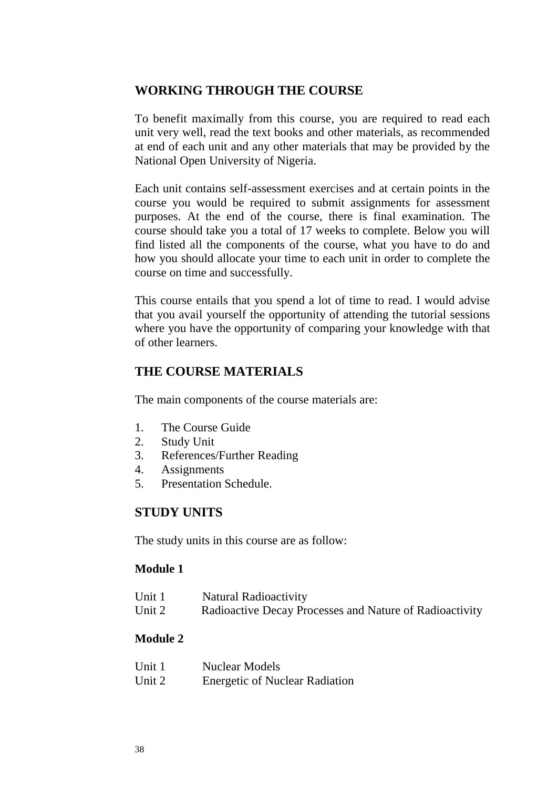## **WORKING THROUGH THE COURSE**

To benefit maximally from this course, you are required to read each unit very well, read the text books and other materials, as recommended at end of each unit and any other materials that may be provided by the National Open University of Nigeria.

Each unit contains self-assessment exercises and at certain points in the course you would be required to submit assignments for assessment purposes. At the end of the course, there is final examination. The course should take you a total of 17 weeks to complete. Below you will find listed all the components of the course, what you have to do and how you should allocate your time to each unit in order to complete the course on time and successfully.

This course entails that you spend a lot of time to read. I would advise that you avail yourself the opportunity of attending the tutorial sessions where you have the opportunity of comparing your knowledge with that of other learners.

#### **THE COURSE MATERIALS**

The main components of the course materials are:

- 1. The Course Guide
- 2. Study Unit
- 3. References/Further Reading
- 4. Assignments
- 5. Presentation Schedule.

## **STUDY UNITS**

The study units in this course are as follow:

#### **Module 1**

| Unit 1 | <b>Natural Radioactivity</b>                            |
|--------|---------------------------------------------------------|
| Unit 2 | Radioactive Decay Processes and Nature of Radioactivity |

#### **Module 2**

| Unit 1 | <b>Nuclear Models</b>                 |
|--------|---------------------------------------|
| Unit 2 | <b>Energetic of Nuclear Radiation</b> |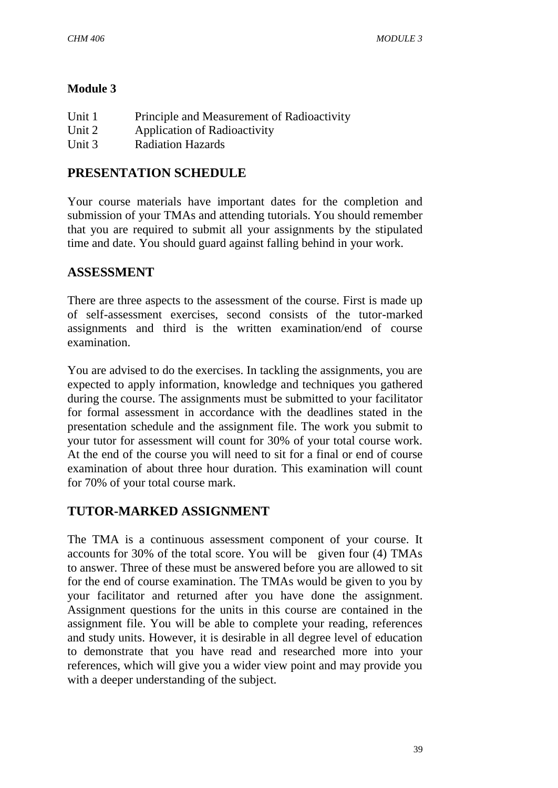#### **Module 3**

| Unit 1 | Principle and Measurement of Radioactivity |
|--------|--------------------------------------------|
| Unit 2 | <b>Application of Radioactivity</b>        |
| Unit 3 | <b>Radiation Hazards</b>                   |

## **PRESENTATION SCHEDULE**

Your course materials have important dates for the completion and submission of your TMAs and attending tutorials. You should remember that you are required to submit all your assignments by the stipulated time and date. You should guard against falling behind in your work.

#### **ASSESSMENT**

There are three aspects to the assessment of the course. First is made up of self-assessment exercises, second consists of the tutor-marked assignments and third is the written examination/end of course examination.

You are advised to do the exercises. In tackling the assignments, you are expected to apply information, knowledge and techniques you gathered during the course. The assignments must be submitted to your facilitator for formal assessment in accordance with the deadlines stated in the presentation schedule and the assignment file. The work you submit to your tutor for assessment will count for 30% of your total course work. At the end of the course you will need to sit for a final or end of course examination of about three hour duration. This examination will count for 70% of your total course mark.

## **TUTOR-MARKED ASSIGNMENT**

The TMA is a continuous assessment component of your course. It accounts for 30% of the total score. You will be given four (4) TMAs to answer. Three of these must be answered before you are allowed to sit for the end of course examination. The TMAs would be given to you by your facilitator and returned after you have done the assignment. Assignment questions for the units in this course are contained in the assignment file. You will be able to complete your reading, references and study units. However, it is desirable in all degree level of education to demonstrate that you have read and researched more into your references, which will give you a wider view point and may provide you with a deeper understanding of the subject.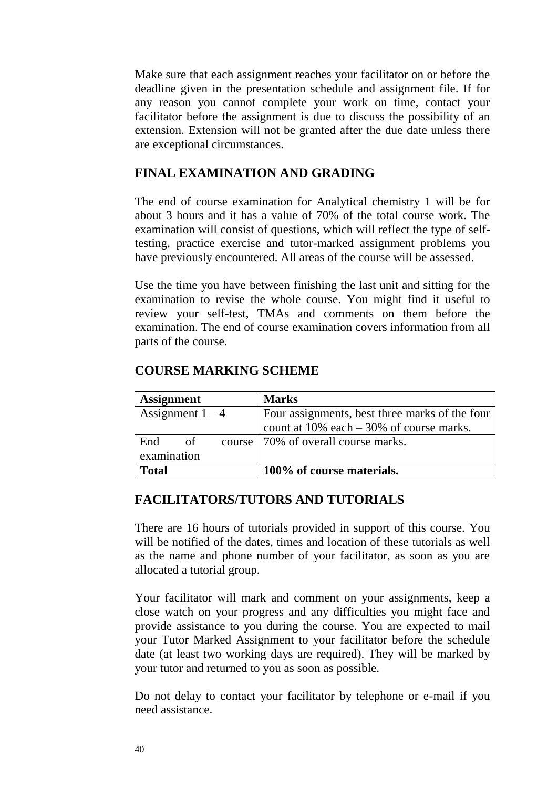Make sure that each assignment reaches your facilitator on or before the deadline given in the presentation schedule and assignment file. If for any reason you cannot complete your work on time, contact your facilitator before the assignment is due to discuss the possibility of an extension. Extension will not be granted after the due date unless there are exceptional circumstances.

#### **FINAL EXAMINATION AND GRADING**

The end of course examination for Analytical chemistry 1 will be for about 3 hours and it has a value of 70% of the total course work. The examination will consist of questions, which will reflect the type of selftesting, practice exercise and tutor-marked assignment problems you have previously encountered. All areas of the course will be assessed.

Use the time you have between finishing the last unit and sitting for the examination to revise the whole course. You might find it useful to review your self-test, TMAs and comments on them before the examination. The end of course examination covers information from all parts of the course.

#### **COURSE MARKING SCHEME**

| <b>Assignment</b>  | <b>Marks</b>                                   |
|--------------------|------------------------------------------------|
| Assignment $1 - 4$ | Four assignments, best three marks of the four |
|                    | count at $10\%$ each $-30\%$ of course marks.  |
| End<br>$\circ$ of  | course   70% of overall course marks.          |
| examination        |                                                |
| <b>Total</b>       | 100% of course materials.                      |

#### **FACILITATORS/TUTORS AND TUTORIALS**

There are 16 hours of tutorials provided in support of this course. You will be notified of the dates, times and location of these tutorials as well as the name and phone number of your facilitator, as soon as you are allocated a tutorial group.

Your facilitator will mark and comment on your assignments, keep a close watch on your progress and any difficulties you might face and provide assistance to you during the course. You are expected to mail your Tutor Marked Assignment to your facilitator before the schedule date (at least two working days are required). They will be marked by your tutor and returned to you as soon as possible.

Do not delay to contact your facilitator by telephone or e-mail if you need assistance.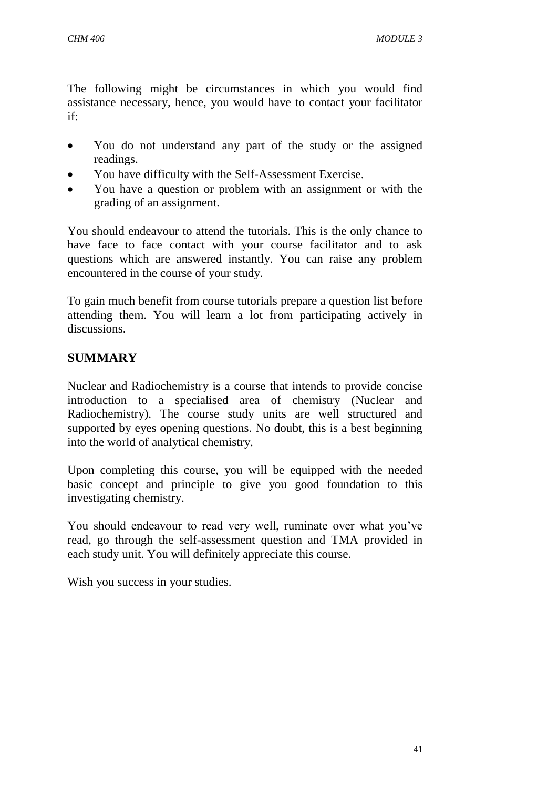The following might be circumstances in which you would find assistance necessary, hence, you would have to contact your facilitator if:

- You do not understand any part of the study or the assigned readings.
- You have difficulty with the Self-Assessment Exercise.
- You have a question or problem with an assignment or with the grading of an assignment.

You should endeavour to attend the tutorials. This is the only chance to have face to face contact with your course facilitator and to ask questions which are answered instantly. You can raise any problem encountered in the course of your study.

To gain much benefit from course tutorials prepare a question list before attending them. You will learn a lot from participating actively in discussions.

# **SUMMARY**

Nuclear and Radiochemistry is a course that intends to provide concise introduction to a specialised area of chemistry (Nuclear and Radiochemistry). The course study units are well structured and supported by eyes opening questions. No doubt, this is a best beginning into the world of analytical chemistry.

Upon completing this course, you will be equipped with the needed basic concept and principle to give you good foundation to this investigating chemistry.

You should endeavour to read very well, ruminate over what you've read, go through the self-assessment question and TMA provided in each study unit. You will definitely appreciate this course.

Wish you success in your studies.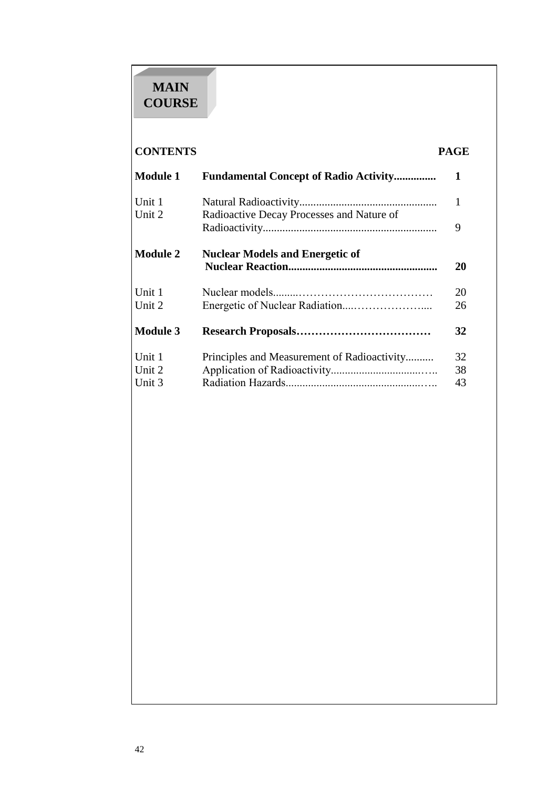# **MAIN COURSE**

# **CONTENTS PAGE**

| <b>Module 1</b>  | <b>Fundamental Concept of Radio Activity</b> | 1         |
|------------------|----------------------------------------------|-----------|
| Unit 1<br>Unit 2 | Radioactive Decay Processes and Nature of    | 1         |
|                  |                                              | 9         |
| <b>Module 2</b>  | <b>Nuclear Models and Energetic of</b>       | <b>20</b> |
| Unit 1           |                                              | 20        |
| Unit 2           |                                              | 26        |
| <b>Module 3</b>  |                                              | 32        |
| Unit 1           | Principles and Measurement of Radioactivity  | 32        |
| Unit 2<br>Unit 3 |                                              | 38<br>43  |
|                  |                                              |           |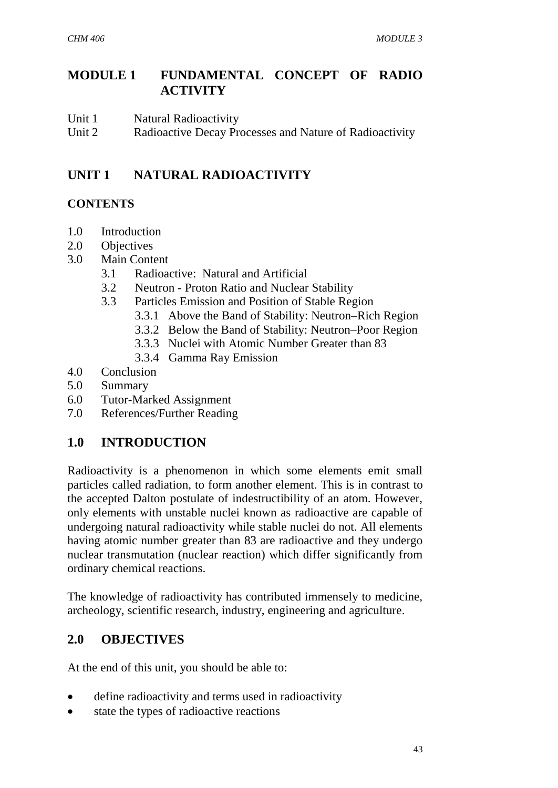# **MODULE 1 FUNDAMENTAL CONCEPT OF RADIO ACTIVITY**

- Unit 1 Natural Radioactivity
- Unit 2 Radioactive Decay Processes and Nature of Radioactivity

# **UNIT 1 NATURAL RADIOACTIVITY**

## **CONTENTS**

- 1.0 Introduction
- 2.0 Objectives
- 3.0 Main Content
	- 3.1 Radioactive: Natural and Artificial
	- 3.2 Neutron Proton Ratio and Nuclear Stability
	- 3.3 Particles Emission and Position of Stable Region
		- 3.3.1 Above the Band of Stability: Neutron–Rich Region
		- 3.3.2 Below the Band of Stability: Neutron–Poor Region
		- 3.3.3 Nuclei with Atomic Number Greater than 83
		- 3.3.4 Gamma Ray Emission
- 4.0 Conclusion
- 5.0 Summary
- 6.0 Tutor-Marked Assignment
- 7.0 References/Further Reading

# **1.0 INTRODUCTION**

Radioactivity is a phenomenon in which some elements emit small particles called radiation, to form another element. This is in contrast to the accepted Dalton postulate of indestructibility of an atom. However, only elements with unstable nuclei known as radioactive are capable of undergoing natural radioactivity while stable nuclei do not. All elements having atomic number greater than 83 are radioactive and they undergo nuclear transmutation (nuclear reaction) which differ significantly from ordinary chemical reactions.

The knowledge of radioactivity has contributed immensely to medicine, archeology, scientific research, industry, engineering and agriculture.

# **2.0 OBJECTIVES**

At the end of this unit, you should be able to:

- define radioactivity and terms used in radioactivity
- state the types of radioactive reactions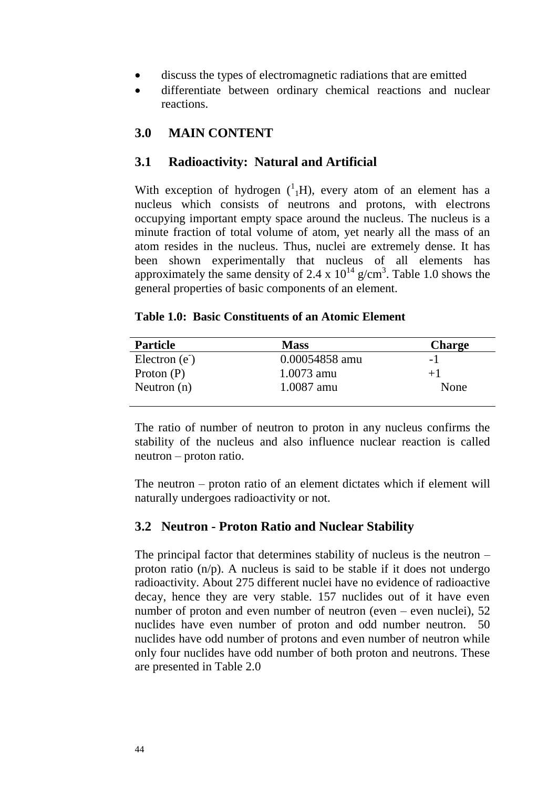- discuss the types of electromagnetic radiations that are emitted
- differentiate between ordinary chemical reactions and nuclear reactions.

#### **3.0 MAIN CONTENT**

#### **3.1 Radioactivity: Natural and Artificial**

With exception of hydrogen  $({}^{1}_{1}H)$ , every atom of an element has a nucleus which consists of neutrons and protons, with electrons occupying important empty space around the nucleus. The nucleus is a minute fraction of total volume of atom, yet nearly all the mass of an atom resides in the nucleus. Thus, nuclei are extremely dense. It has been shown experimentally that nucleus of all elements has approximately the same density of 2.4 x  $10^{14}$  g/cm<sup>3</sup>. Table 1.0 shows the general properties of basic components of an element.

#### **Table 1.0: Basic Constituents of an Atomic Element**

| <b>Particle</b> | <b>Mass</b>    | <b>Charge</b> |
|-----------------|----------------|---------------|
| Electron $(ez)$ | 0.00054858 amu | $-1$          |
| Proton $(P)$    | 1.0073 amu     | $+1$          |
| Neutron $(n)$   | 1.0087 amu     | None          |
|                 |                |               |

The ratio of number of neutron to proton in any nucleus confirms the stability of the nucleus and also influence nuclear reaction is called neutron – proton ratio.

The neutron – proton ratio of an element dictates which if element will naturally undergoes radioactivity or not.

#### **3.2 Neutron - Proton Ratio and Nuclear Stability**

The principal factor that determines stability of nucleus is the neutron – proton ratio  $(n/p)$ . A nucleus is said to be stable if it does not undergo radioactivity. About 275 different nuclei have no evidence of radioactive decay, hence they are very stable. 157 nuclides out of it have even number of proton and even number of neutron (even – even nuclei), 52 nuclides have even number of proton and odd number neutron. 50 nuclides have odd number of protons and even number of neutron while only four nuclides have odd number of both proton and neutrons. These are presented in Table 2.0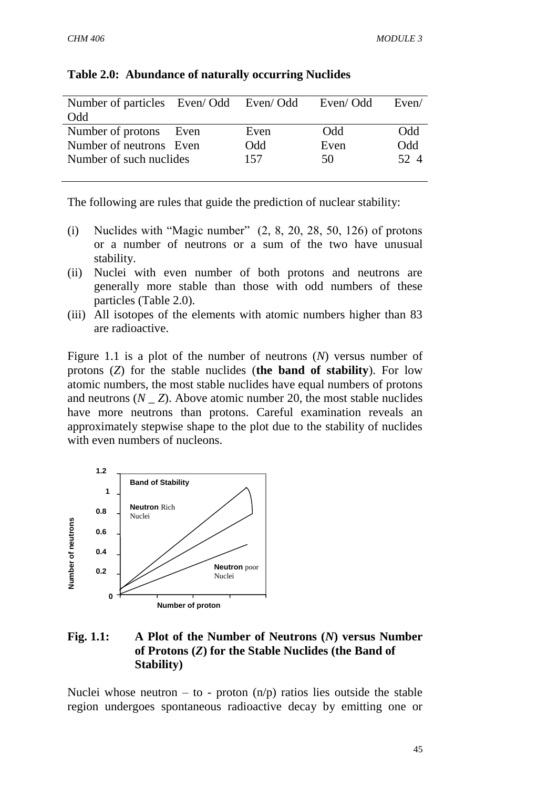| Number of particles Even/Odd Even/Odd |            | Even/Odd | Even/ |
|---------------------------------------|------------|----------|-------|
| Odd                                   |            |          |       |
| Number of protons Even                | Even       | Odd      | Odd   |
| Number of neutrons Even               | <b>Odd</b> | Even     | Odd   |
| Number of such nuclides               | 157        | 50       | 52.4  |
|                                       |            |          |       |

#### **Table 2.0: Abundance of naturally occurring Nuclides**

The following are rules that guide the prediction of nuclear stability:

- (i) Nuclides with "Magic number"  $(2, 8, 20, 28, 50, 126)$  of protons or a number of neutrons or a sum of the two have unusual stability.
- (ii) Nuclei with even number of both protons and neutrons are generally more stable than those with odd numbers of these particles (Table 2.0).
- (iii) All isotopes of the elements with atomic numbers higher than 83 are radioactive.

Figure 1.1 is a plot of the number of neutrons (*N*) versus number of protons (*Z*) for the stable nuclides (**the band of stability**). For low atomic numbers, the most stable nuclides have equal numbers of protons and neutrons  $(N \t Z)$ . Above atomic number 20, the most stable nuclides have more neutrons than protons. Careful examination reveals an approximately stepwise shape to the plot due to the stability of nuclides with even numbers of nucleons.



#### **Fig. 1.1: A Plot of the Number of Neutrons (***N***) versus Number of Protons (***Z***) for the Stable Nuclides (the Band of Stability)**

Nuclei whose neutron – to - proton  $(n/p)$  ratios lies outside the stable region undergoes spontaneous radioactive decay by emitting one or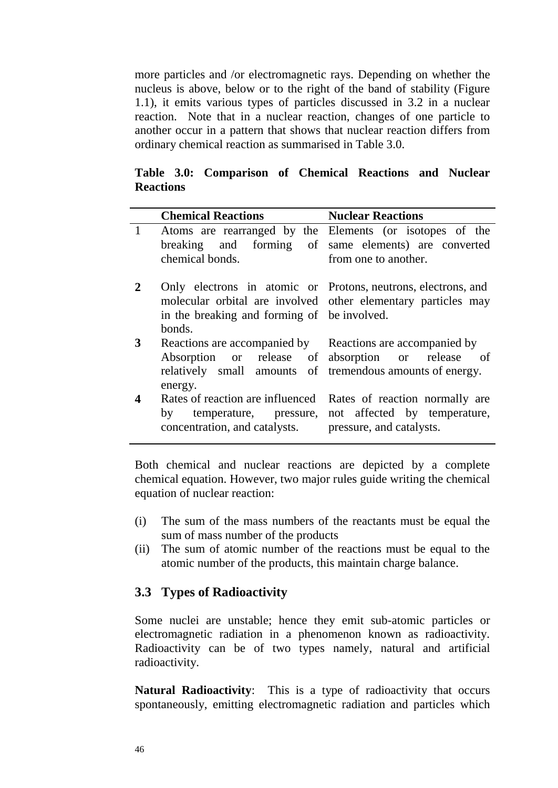more particles and /or electromagnetic rays. Depending on whether the nucleus is above, below or to the right of the band of stability (Figure 1.1), it emits various types of particles discussed in 3.2 in a nuclear reaction. Note that in a nuclear reaction, changes of one particle to another occur in a pattern that shows that nuclear reaction differs from ordinary chemical reaction as summarised in Table 3.0.

**Table 3.0: Comparison of Chemical Reactions and Nuclear Reactions**

|              | <b>Chemical Reactions</b>                                                                                                         | <b>Nuclear Reactions</b>                                                                                                                 |
|--------------|-----------------------------------------------------------------------------------------------------------------------------------|------------------------------------------------------------------------------------------------------------------------------------------|
| $\mathbf{1}$ | chemical bonds.                                                                                                                   | Atoms are rearranged by the Elements (or isotopes of the<br>breaking and forming of same elements) are converted<br>from one to another. |
|              | in the breaking and forming of be involved.<br>bonds.                                                                             | Only electrons in atomic or Protons, neutrons, electrons, and<br>molecular orbital are involved other elementary particles may           |
| $\mathbf{3}$ | Reactions are accompanied by Reactions are accompanied by<br>relatively small amounts of tremendous amounts of energy.<br>energy. | Absorption or release of absorption or release of                                                                                        |
|              | Rates of reaction are influenced<br>concentration, and catalysts. pressure, and catalysts.                                        | Rates of reaction normally are<br>by temperature, pressure, not affected by temperature,                                                 |

Both chemical and nuclear reactions are depicted by a complete chemical equation. However, two major rules guide writing the chemical equation of nuclear reaction:

- (i) The sum of the mass numbers of the reactants must be equal the sum of mass number of the products
- (ii) The sum of atomic number of the reactions must be equal to the atomic number of the products, this maintain charge balance.

## **3.3 Types of Radioactivity**

Some nuclei are unstable; hence they emit sub-atomic particles or electromagnetic radiation in a phenomenon known as radioactivity. Radioactivity can be of two types namely, natural and artificial radioactivity.

**Natural Radioactivity**: This is a type of radioactivity that occurs spontaneously, emitting electromagnetic radiation and particles which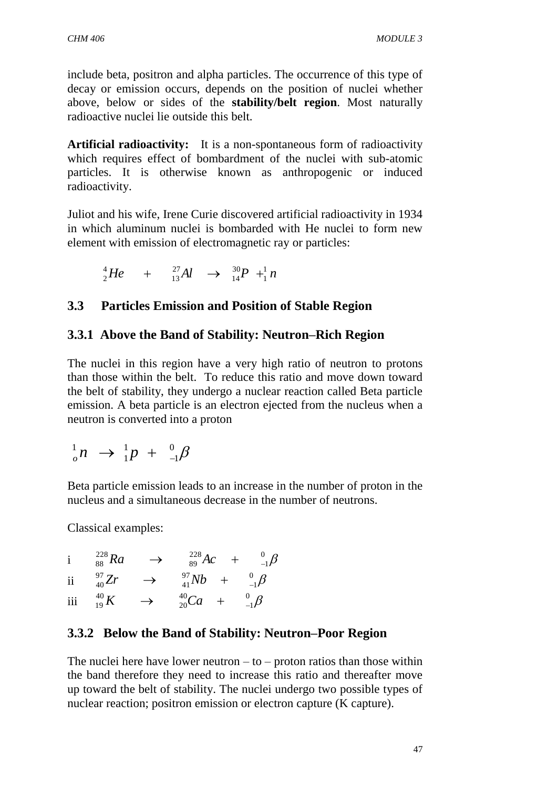include beta, positron and alpha particles. The occurrence of this type of decay or emission occurs, depends on the position of nuclei whether above, below or sides of the **stability/belt region**. Most naturally radioactive nuclei lie outside this belt.

**Artificial radioactivity:** It is a non-spontaneous form of radioactivity which requires effect of bombardment of the nuclei with sub-atomic particles. It is otherwise known as anthropogenic or induced radioactivity.

Juliot and his wife, Irene Curie discovered artificial radioactivity in 1934 in which aluminum nuclei is bombarded with He nuclei to form new element with emission of electromagnetic ray or particles:

$$
{}_{2}^{4}He + {}_{13}^{27}Al \rightarrow {}_{14}^{30}P + {}_{1}^{1}n
$$

# **3.3 Particles Emission and Position of Stable Region**

## **3.3.1 Above the Band of Stability: Neutron–Rich Region**

The nuclei in this region have a very high ratio of neutron to protons than those within the belt. To reduce this ratio and move down toward the belt of stability, they undergo a nuclear reaction called Beta particle emission. A beta particle is an electron ejected from the nucleus when a neutron is converted into a proton

$$
_{o}^{1}n \rightarrow _{1}^{1}p + _{1}^{0}\beta
$$

Beta particle emission leads to an increase in the number of proton in the nucleus and a simultaneous decrease in the number of neutrons.

Classical examples:

i  $_{-1}^0$  $\beta$ 1 228 89  ${}^{228}_{88}Ra$   $\rightarrow$   ${}^{228}_{89}Ac$  +  ${}^{0}_{-}$ ii  $_{-1}^0\beta$ 1 97 41  $^{97}_{40}Zr \qquad \rightarrow \qquad ^{97}_{41}Nb \quad + \quad ^{0}_{-1}$ iii  $_{-1}^0\beta$ 1 40 20  $^{40}_{19}K$   $\rightarrow$   $^{40}_{20}Ca$  +  $^{0}_{-}$ 

# **3.3.2 Below the Band of Stability: Neutron–Poor Region**

The nuclei here have lower neutron  $-$  to  $-$  proton ratios than those within the band therefore they need to increase this ratio and thereafter move up toward the belt of stability. The nuclei undergo two possible types of nuclear reaction; positron emission or electron capture (K capture).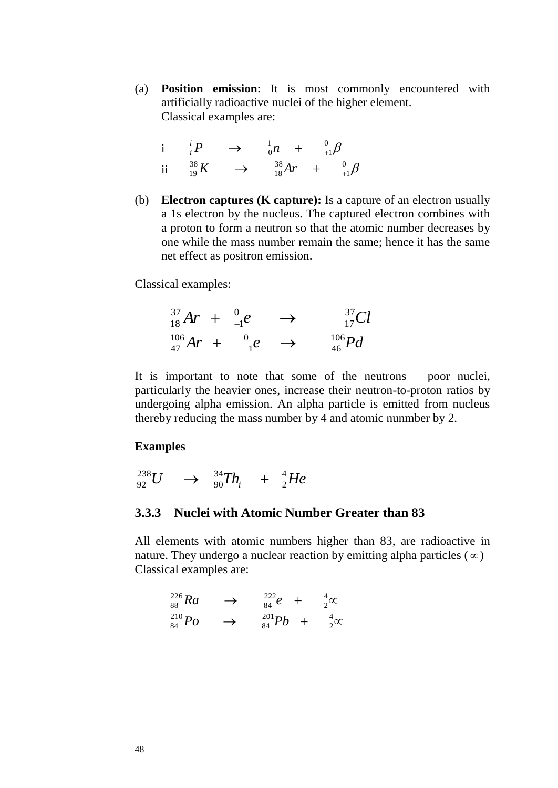(a) **Position emission**: It is most commonly encountered with artificially radioactive nuclei of the higher element. Classical examples are:

$$
\begin{array}{ccccccc}\ni & i & P & \rightarrow & \frac{1}{0}n & + & \frac{0}{+1}\beta\\
\text{ii} & \frac{38}{19}K & \rightarrow & \frac{38}{18}Ar & + & \frac{0}{+1}\beta\end{array}
$$

(b) **Electron captures (K capture):** Is a capture of an electron usually a 1s electron by the nucleus. The captured electron combines with a proton to form a neutron so that the atomic number decreases by one while the mass number remain the same; hence it has the same net effect as positron emission.

Classical examples:

 $Ar + \frac{0}{-1}e \rightarrow \frac{37}{17}Cl$ 0 1  $^{37}_{18}Ar + ^{0}_{-1}e \longrightarrow$  $Ar + \frac{0}{-1}e \rightarrow \frac{106}{46}Pd$ 0 1  $^{106}_{47}Ar + ^0_{-1}e \rightarrow$ 

It is important to note that some of the neutrons – poor nuclei, particularly the heavier ones, increase their neutron-to-proton ratios by undergoing alpha emission. An alpha particle is emitted from nucleus thereby reducing the mass number by 4 and atomic nunmber by 2.

#### **Examples**

$$
^{238}_{92}U \quad \rightarrow \quad ^{34}_{90}Th_i \quad + \quad ^{4}_{2}He
$$

#### **3.3.3 Nuclei with Atomic Number Greater than 83**

All elements with atomic numbers higher than 83, are radioactive in nature. They undergo a nuclear reaction by emitting alpha particles ( $\infty$ ) Classical examples are:

$$
{}^{226}_{88}Ra \rightarrow {}^{222}_{84}e + {}^{4}_{2}\infty
$$
  

$$
{}^{210}_{84}Po \rightarrow {}^{201}_{84}Pb + {}^{4}_{2}\infty
$$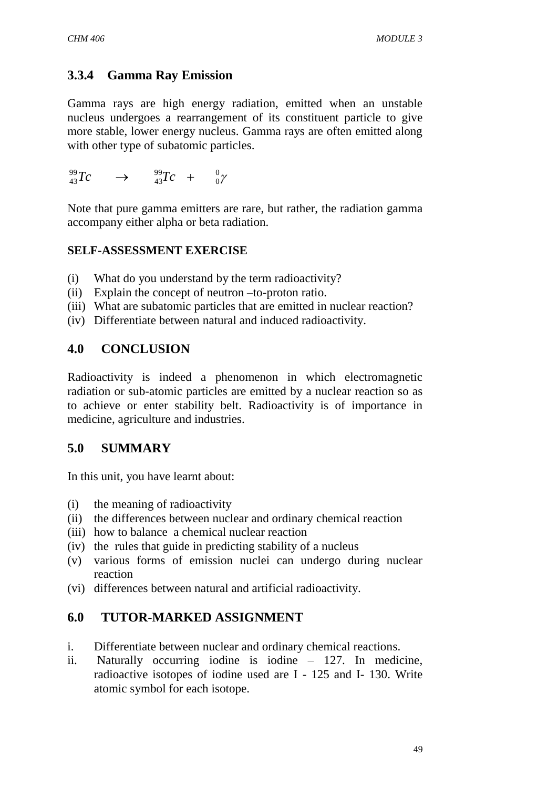# **3.3.4 Gamma Ray Emission**

Gamma rays are high energy radiation, emitted when an unstable nucleus undergoes a rearrangement of its constituent particle to give more stable, lower energy nucleus. Gamma rays are often emitted along with other type of subatomic particles.

$$
{}^{99}_{43}Tc \longrightarrow {}^{99}_{43}Tc + {}^{0}_{0}\gamma
$$

Note that pure gamma emitters are rare, but rather, the radiation gamma accompany either alpha or beta radiation.

#### **SELF-ASSESSMENT EXERCISE**

- (i) What do you understand by the term radioactivity?
- (ii) Explain the concept of neutron –to-proton ratio.
- (iii) What are subatomic particles that are emitted in nuclear reaction?
- (iv) Differentiate between natural and induced radioactivity.

# **4.0 CONCLUSION**

Radioactivity is indeed a phenomenon in which electromagnetic radiation or sub-atomic particles are emitted by a nuclear reaction so as to achieve or enter stability belt. Radioactivity is of importance in medicine, agriculture and industries.

# **5.0 SUMMARY**

In this unit, you have learnt about:

- (i) the meaning of radioactivity
- (ii) the differences between nuclear and ordinary chemical reaction
- (iii) how to balance a chemical nuclear reaction
- (iv) the rules that guide in predicting stability of a nucleus
- (v) various forms of emission nuclei can undergo during nuclear reaction
- (vi) differences between natural and artificial radioactivity.

## **6.0 TUTOR-MARKED ASSIGNMENT**

- i. Differentiate between nuclear and ordinary chemical reactions.
- ii. Naturally occurring iodine is iodine 127. In medicine, radioactive isotopes of iodine used are I - 125 and I- 130. Write atomic symbol for each isotope.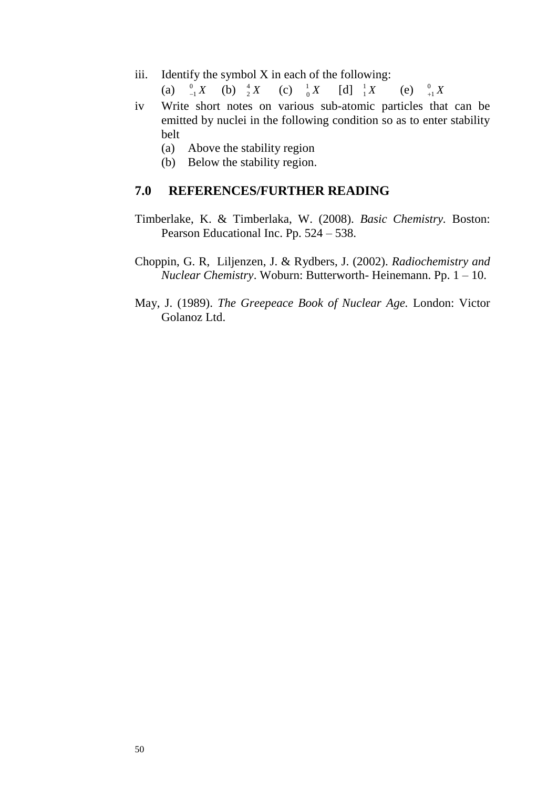iii. Identify the symbol  $X$  in each of the following:

(a)  $\int_{-1}^0 X$  $^{0}_{-1}X$  (b)  $^{4}_{2}X$ 2 (c)  $\frac{1}{0}X$  $\frac{1}{0}X$  [d]  $\frac{1}{1}X$ 1 (e)  $^{0}_{+1}X$  $+1$ 

- iv Write short notes on various sub-atomic particles that can be emitted by nuclei in the following condition so as to enter stability belt
	- (a) Above the stability region
	- (b) Below the stability region.

#### **7.0 REFERENCES/FURTHER READING**

- Timberlake, K. & Timberlaka, W. (2008). *Basic Chemistry.* Boston: Pearson Educational Inc. Pp. 524 – 538.
- Choppin, G. R, Liljenzen, J. & Rydbers, J. (2002). *Radiochemistry and Nuclear Chemistry*. Woburn: Butterworth- Heinemann. Pp. 1 – 10.
- May, J. (1989). *The Greepeace Book of Nuclear Age.* London: Victor Golanoz Ltd.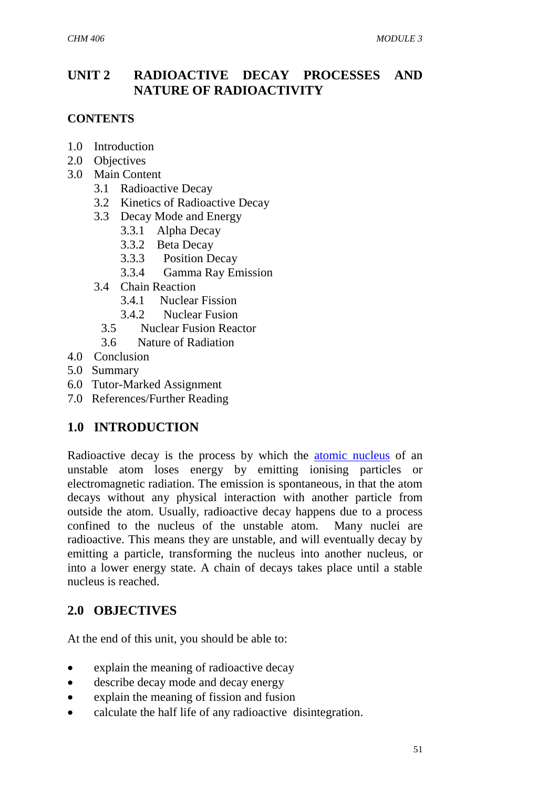# **UNIT 2 RADIOACTIVE DECAY PROCESSES AND NATURE OF RADIOACTIVITY**

#### **CONTENTS**

- 1.0 Introduction
- 2.0 Objectives
- 3.0 Main Content
	- 3.1 Radioactive Decay
	- 3.2 Kinetics of Radioactive Decay
	- 3.3 Decay Mode and Energy
		- 3.3.1 Alpha Decay
		- 3.3.2 Beta Decay
		- 3.3.3 Position Decay
		- 3.3.4 Gamma Ray Emission
	- 3.4 Chain Reaction
		- 3.4.1 Nuclear Fission
		- 3.4.2 Nuclear Fusion
		- 3.5 Nuclear Fusion Reactor
		- 3.6 Nature of Radiation
- 4.0 Conclusion
- 5.0 Summary
- 6.0 Tutor-Marked Assignment
- 7.0 References/Further Reading

# **1.0 INTRODUCTION**

Radioactive decay is the process by which the [atomic nucleus](http://en.wikipedia.org/wiki/Atomic_nucleus) of an unstable atom loses energy by emitting ionising particles or electromagnetic radiation. The emission is spontaneous, in that the atom decays without any physical interaction with another particle from outside the atom. Usually, radioactive decay happens due to a process confined to the nucleus of the unstable atom. Many nuclei are radioactive. This means they are unstable, and will eventually decay by emitting a particle, transforming the nucleus into another nucleus, or into a lower energy state. A chain of decays takes place until a stable nucleus is reached.

# **2.0 OBJECTIVES**

At the end of this unit, you should be able to:

- explain the meaning of radioactive decay
- describe decay mode and decay energy
- explain the meaning of fission and fusion
- calculate the half life of any radioactive disintegration.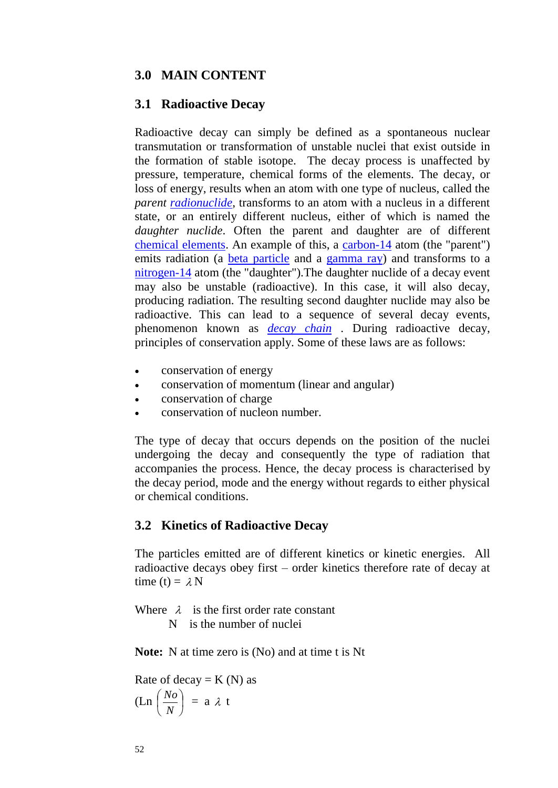#### **3.0 MAIN CONTENT**

#### **3.1 Radioactive Decay**

Radioactive decay can simply be defined as a spontaneous nuclear transmutation or transformation of unstable nuclei that exist outside in the formation of stable isotope. The decay process is unaffected by pressure, temperature, chemical forms of the elements. The decay, or loss of energy, results when an atom with one type of nucleus, called the *parent [radionuclide](http://en.wikipedia.org/wiki/Radionuclide)*, transforms to an atom with a nucleus in a different state, or an entirely different nucleus, either of which is named the *daughter nuclide*. Often the parent and daughter are of different [chemical elements.](http://en.wikipedia.org/wiki/Chemical_element) An example of this, a [carbon-14](http://en.wikipedia.org/wiki/Carbon-14) atom (the "parent") emits radiation (a [beta particle](http://en.wikipedia.org/wiki/Beta_particle) and a [gamma ray\)](http://en.wikipedia.org/wiki/Gamma_ray) and transforms to a [nitrogen-14](http://en.wikipedia.org/wiki/Nitrogen-14) atom (the "daughter").The daughter nuclide of a decay event may also be unstable (radioactive). In this case, it will also decay, producing radiation. The resulting second daughter nuclide may also be radioactive. This can lead to a sequence of several decay events, phenomenon known as *[decay chain](http://en.wikipedia.org/wiki/Decay_chain)* . During radioactive decay, principles of conservation apply. Some of these laws are as follows:

- conservation of energy
- conservation of momentum (linear and angular)
- conservation of charge
- conservation of nucleon number.

The type of decay that occurs depends on the position of the nuclei undergoing the decay and consequently the type of radiation that accompanies the process. Hence, the decay process is characterised by the decay period, mode and the energy without regards to either physical or chemical conditions.

#### **3.2 Kinetics of Radioactive Decay**

The particles emitted are of different kinetics or kinetic energies. All radioactive decays obey first – order kinetics therefore rate of decay at time (t) =  $\lambda$  N

Where  $\lambda$  is the first order rate constant

N is the number of nuclei

**Note:** N at time zero is (No) and at time t is Nt

Rate of decay  $= K(N)$  as  $(Ln \mid \frac{IV}{N})$ J  $\left(\frac{N_o}{N}\right)$ Y ſ *N*  $\left(\frac{N_o}{N}\right)$  = a  $\lambda$  t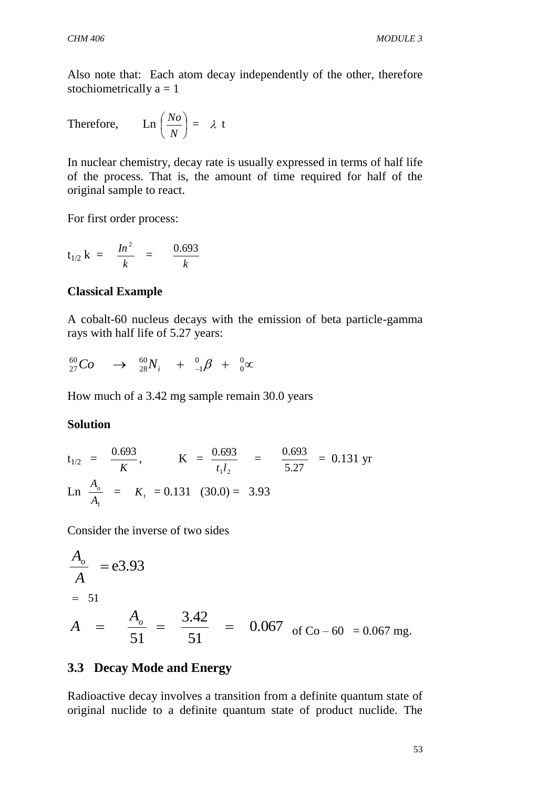Also note that: Each atom decay independently of the other, therefore stochiometrically  $a = 1$ 

Therefore, 
$$
\operatorname{Ln}\left(\frac{N_o}{N}\right) = \lambda
$$
 t

In nuclear chemistry, decay rate is usually expressed in terms of half life of the process. That is, the amount of time required for half of the original sample to react.

For first order process:

$$
t_{1/2} k = \frac{In^2}{k} = \frac{0.693}{k}
$$

#### **Classical Example**

A cobalt-60 nucleus decays with the emission of beta particle-gamma rays with half life of 5.27 years:

$$
^{ 60}_{27}Co \quad \rightarrow \quad ^{ 60}_{28}N_{i} \quad + \quad ^{ 0}_{-1}\beta \quad + \quad ^{ 0}_{0}\infty
$$

How much of a 3.42 mg sample remain 30.0 years

#### **Solution**

$$
t_{1/2} = \frac{0.693}{K}
$$
,  $K = \frac{0.693}{t_1 l_2} = \frac{0.693}{5.27} = 0.131$  yr  
Ln  $\frac{A_o}{A_1} = K_t = 0.131 (30.0) = 3.93$ 

Consider the inverse of two sides

$$
\frac{A_o}{A} = 83.93
$$
  
= 51  

$$
A = \frac{A_o}{51} = \frac{3.42}{51} = 0.067 \text{ of Co} - 60 = 0.067 \text{ mg.}
$$

#### **3.3 Decay Mode and Energy**

Radioactive decay involves a transition from a definite quantum state of original nuclide to a definite quantum state of product nuclide. The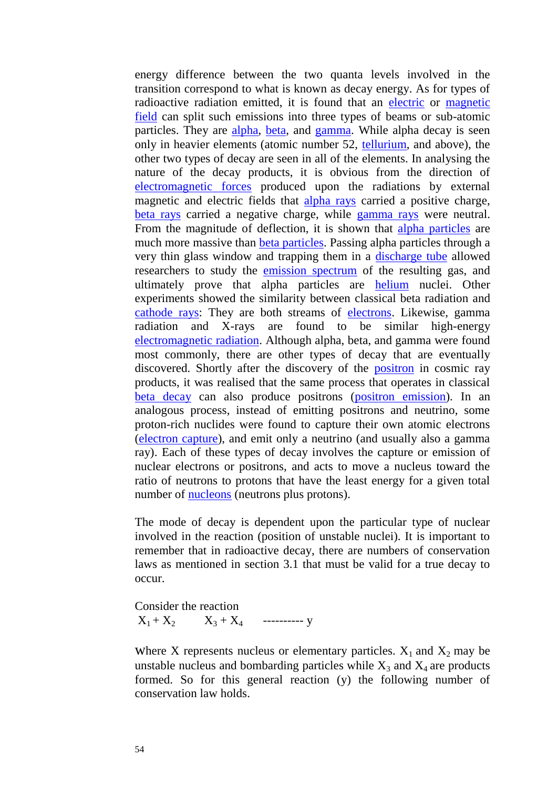energy difference between the two quanta levels involved in the transition correspond to what is known as decay energy. As for types of radioactive radiation emitted, it is found that an [electric](http://en.wikipedia.org/wiki/Electric_field) or [magnetic](http://en.wikipedia.org/wiki/Magnetic_field)  [field](http://en.wikipedia.org/wiki/Magnetic_field) can split such emissions into three types of beams or sub-atomic particles. They are [alpha,](http://en.wikipedia.org/wiki/Alpha_particle) [beta,](http://en.wikipedia.org/wiki/Beta_particle) and [gamma.](http://en.wikipedia.org/wiki/Gamma_ray) While alpha decay is seen only in heavier elements (atomic number 52, [tellurium,](http://en.wikipedia.org/wiki/Tellurium) and above), the other two types of decay are seen in all of the elements. In analysing the nature of the decay products, it is obvious from the direction of [electromagnetic forces](http://en.wikipedia.org/wiki/Electromagnetic_force) produced upon the radiations by external magnetic and electric fields that [alpha rays](http://en.wikipedia.org/wiki/Alpha_decay) carried a positive charge, [beta rays](http://en.wikipedia.org/wiki/Beta_decay) carried a negative charge, while [gamma rays](http://en.wikipedia.org/wiki/Gamma_ray) were neutral. From the magnitude of deflection, it is shown that [alpha particles](http://en.wikipedia.org/wiki/Alpha_particles) are much more massive than [beta particles.](http://en.wikipedia.org/wiki/Beta_particles) Passing alpha particles through a very thin glass window and trapping them in a [discharge tube](http://en.wikipedia.org/wiki/Neon_lamp) allowed researchers to study the [emission spectrum](http://en.wikipedia.org/wiki/Emission_spectrum) of the resulting gas, and ultimately prove that alpha particles are [helium](http://en.wikipedia.org/wiki/Helium) nuclei. Other experiments showed the similarity between classical beta radiation and [cathode rays:](http://en.wikipedia.org/wiki/Cathode_ray) They are both streams of [electrons.](http://en.wikipedia.org/wiki/Electrons) Likewise, gamma radiation and X-rays are found to be similar high-energy [electromagnetic radiation.](http://en.wikipedia.org/wiki/Electromagnetic_radiation) Although alpha, beta, and gamma were found most commonly, there are other types of decay that are eventually discovered. Shortly after the discovery of the [positron](http://en.wikipedia.org/wiki/Positron) in cosmic ray products, it was realised that the same process that operates in classical [beta decay](http://en.wikipedia.org/wiki/Beta_decay) can also produce positrons [\(positron emission\)](http://en.wikipedia.org/wiki/Positron_emission). In an analogous process, instead of emitting positrons and neutrino, some proton-rich nuclides were found to capture their own atomic electrons [\(electron capture\)](http://en.wikipedia.org/wiki/Electron_capture), and emit only a neutrino (and usually also a gamma ray). Each of these types of decay involves the capture or emission of nuclear electrons or positrons, and acts to move a nucleus toward the ratio of neutrons to protons that have the least energy for a given total number of [nucleons](http://en.wikipedia.org/wiki/Nucleon) (neutrons plus protons).

The mode of decay is dependent upon the particular type of nuclear involved in the reaction (position of unstable nuclei). It is important to remember that in radioactive decay, there are numbers of conservation laws as mentioned in section 3.1 that must be valid for a true decay to occur.

Consider the reaction  $X_1 + X_2$   $X_3 + X_4$  ----------- y

Where X represents nucleus or elementary particles.  $X_1$  and  $X_2$  may be unstable nucleus and bombarding particles while  $X_3$  and  $X_4$  are products formed. So for this general reaction (y) the following number of conservation law holds.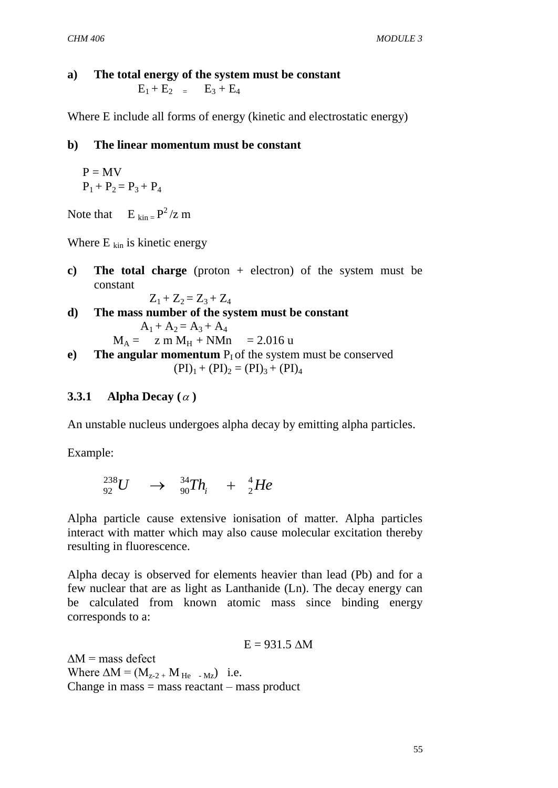#### **a) The total energy of the system must be constant**

 $E_1 + E_2 = E_3 + E_4$ 

Where E include all forms of energy (kinetic and electrostatic energy)

#### **b) The linear momentum must be constant**

$$
P = MV
$$
  
P<sub>1</sub> + P<sub>2</sub> = P<sub>3</sub> + P<sub>4</sub>

Note that  $E_{kin} = P^2 / z$  m

Where  $E_{kin}$  is kinetic energy

**c) The total charge** (proton + electron) of the system must be constant

$$
Z_1 + Z_2 = Z_3 + Z_4
$$

**d) The mass number of the system must be constant**  $A_1 + A_2 = A_3 + A_4$ 

$$
M_A = \text{z m } M_H + \text{N} M n = 2.016 \text{ u}
$$

**e) The angular momentum**  $P_1$  of the system must be conserved  $(PI)_1 + (PI)_2 = (PI)_3 + (PI)_4$ 

#### **3.3.1 Alpha Decay**  $(\alpha)$

An unstable nucleus undergoes alpha decay by emitting alpha particles.

Example:

$$
^{238}_{92}U \quad \rightarrow \quad ^{34}_{90}Th_i \quad + \quad ^{4}_{2}He
$$

Alpha particle cause extensive ionisation of matter. Alpha particles interact with matter which may also cause molecular excitation thereby resulting in fluorescence.

Alpha decay is observed for elements heavier than lead (Pb) and for a few nuclear that are as light as Lanthanide (Ln). The decay energy can be calculated from known atomic mass since binding energy corresponds to a:

$$
E = 931.5 \text{ }\Delta M
$$

 $\Delta M$  = mass defect Where  $\Delta M = (M_{z-2} + M_{He} - M_{Z})$  i.e. Change in mass  $=$  mass reactant  $-$  mass product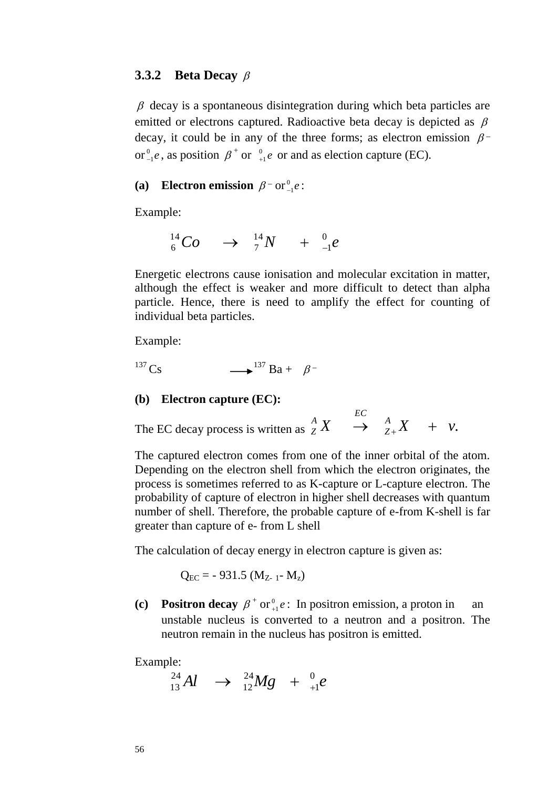#### **3.3.2 Beta Decay**

 $\beta$  decay is a spontaneous disintegration during which beta particles are emitted or electrons captured. Radioactive beta decay is depicted as  $\beta$ decay, it could be in any of the three forms; as electron emission  $\beta$ or $_{-1}^{0}e$  $e_{-1}^0e$ , as position  $\beta^+$  or  $e_{+1}^0e$  $_{+1}^{0}e$  or and as election capture (EC).

#### (a) **Electron emission**  $\beta$ <sup>-</sup> or<sup>0</sup><sub>-1</sub>e  $_{-1}^0e$  :

Example:

$$
{}^{14}_{6}Co \quad \rightarrow \quad {}^{14}_{7}N \quad + \quad {}^{0}_{-1}e
$$

Energetic electrons cause ionisation and molecular excitation in matter, although the effect is weaker and more difficult to detect than alpha particle. Hence, there is need to amplify the effect for counting of individual beta particles.

Example:

$$
^{137}\text{Cs} \qquad \longrightarrow ^{137}\text{Ba} + \beta^-
$$

#### **(b) Electron capture (EC):**

The EC decay process is written as  ${}^A_Z X \rightarrow {}^A_{Z+} X + v$ . *Z*  $\begin{array}{ccc} A & E C \ Z & \rightarrow & A \ Z + X & + \end{array}$ 

The captured electron comes from one of the inner orbital of the atom. Depending on the electron shell from which the electron originates, the process is sometimes referred to as K-capture or L-capture electron. The probability of capture of electron in higher shell decreases with quantum number of shell. Therefore, the probable capture of e-from K-shell is far greater than capture of e- from L shell

The calculation of decay energy in electron capture is given as:

$$
Q_{EC} = -931.5 (M_{Z-1} - M_z)
$$

**(c) Positron decay**  $\beta^+$  or  $e^0$  $_{+1}^{0}e$ : In positron emission, a proton in an unstable nucleus is converted to a neutron and a positron. The neutron remain in the nucleus has positron is emitted.

Example:

*Al*  $\rightarrow$   $^{24}_{12}Mg + ^{0}_{+1}e$ 1 24 12  $^{24}_{13}Al \rightarrow ^{24}_{12}Mg + ^{0}_{+}$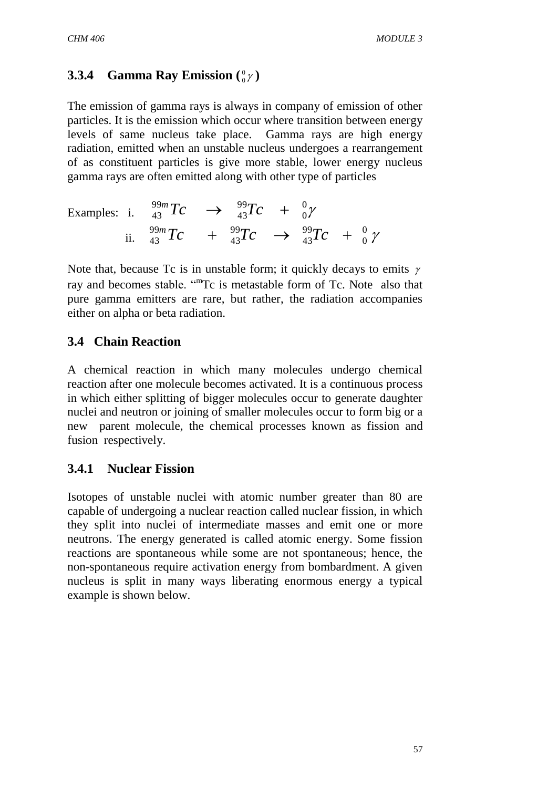#### **3.3.4 Gamma Ray Emission**  $\binom{0}{0}$  $^0_0$ r)

The emission of gamma rays is always in company of emission of other particles. It is the emission which occur where transition between energy levels of same nucleus take place. Gamma rays are high energy radiation, emitted when an unstable nucleus undergoes a rearrangement of as constituent particles is give more stable, lower energy nucleus gamma rays are often emitted along with other type of particles

Examples: i. 
$$
^{99m}_{43}Tc \rightarrow ^{99}_{43}Tc + ^{0}_{0}\gamma
$$
  
ii.  $^{99m}_{43}Tc + ^{99}_{43}Tc \rightarrow ^{99}_{43}Tc + ^{0}_{0}\gamma$ 

Note that, because Tc is in unstable form; it quickly decays to emits  $\gamma$ ray and becomes stable. "The is metastable form of Tc. Note also that pure gamma emitters are rare, but rather, the radiation accompanies either on alpha or beta radiation.

## **3.4 Chain Reaction**

A chemical reaction in which many molecules undergo chemical reaction after one molecule becomes activated. It is a continuous process in which either splitting of bigger molecules occur to generate daughter nuclei and neutron or joining of smaller molecules occur to form big or a new parent molecule, the chemical processes known as fission and fusion respectively.

## **3.4.1 Nuclear Fission**

Isotopes of unstable nuclei with atomic number greater than 80 are capable of undergoing a nuclear reaction called nuclear fission, in which they split into nuclei of intermediate masses and emit one or more neutrons. The energy generated is called atomic energy. Some fission reactions are spontaneous while some are not spontaneous; hence, the non-spontaneous require activation energy from bombardment. A given nucleus is split in many ways liberating enormous energy a typical example is shown below.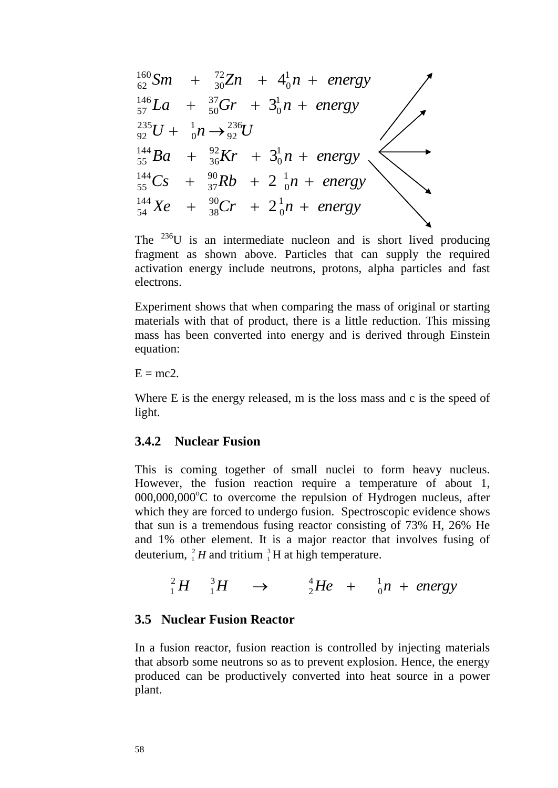$$
\frac{160}{62}Sm + \frac{72}{30}Zn + 4\frac{1}{0}n + energy
$$
\n
$$
\frac{146}{57}La + \frac{37}{50}Gr + 3\frac{1}{0}n + energy
$$
\n
$$
\frac{235}{55}U + \frac{1}{0}n \rightarrow \frac{236}{22}U
$$
\n
$$
\frac{144}{55}Ba + \frac{92}{36}Kr + 3\frac{1}{0}n + energy
$$
\n
$$
\frac{144}{54}Xe + \frac{90}{36}Cr + 2\frac{1}{0}n + energy
$$
\nThe <sup>236</sup>U is an intermediate nucleon and is short lived fragment as shown above. Particles that can supply the activation energy include neutrons, protons, alpha particle electrons.\n\nExperiment shows that when comparing the mass of original materials with that of product, there is a little reduction. This has been converted into energy and is derived through equations:\n\nE = mc2.\n\nWhere E is the energy released, m is the loss mass and c is the light.\n\n3.4.2 Nuclear Fusion\nThis is coming together of small nuclei to form heavy. However, the fusion reaction require a temperature of 000,000,000°C to overcome the repulsion of Hydrogen nu which they are forced to undergo fusion. Spectroscopic evidated at sun is a mean of a random using reactor consisting of 73% is 4 and 1% other element. It is a major reactor that involves the deuterium, <sup>2</sup><sub>i</sub> H and tritium <sup>3</sup><sub>i</sub>H at high temperature.\n\n
$$
\frac{2}{1}H - \frac{3}{1}H \rightarrow \frac{4}{2}He + \frac{1}{0}n + ene
$$
\n\n3.5 Nuclear Fusion Reaction reaction is controlled by injection, that absorb some neutrons so as to prevent explosion. Hence, produced can be productivity converted into heat source is plant.

The  $^{236}U$  is an intermediate nucleon and is short lived producing fragment as shown above. Particles that can supply the required activation energy include neutrons, protons, alpha particles and fast electrons.

Experiment shows that when comparing the mass of original or starting materials with that of product, there is a little reduction. This missing mass has been converted into energy and is derived through Einstein equation:

 $E = mc2$ .

Where E is the energy released, m is the loss mass and c is the speed of light.

#### **3.4.2 Nuclear Fusion**

This is coming together of small nuclei to form heavy nucleus. However, the fusion reaction require a temperature of about 1,  $000,000,000^{\circ}$ C to overcome the repulsion of Hydrogen nucleus, after which they are forced to undergo fusion. Spectroscopic evidence shows that sun is a tremendous fusing reactor consisting of 73% H, 26% He and 1% other element. It is a major reactor that involves fusing of deuterium,  ${}^{2}_{1}H$  $^{2}_{1}$  H and tritium  $^{3}_{1}$  $^{3}_{1}$ H at high temperature.

$$
{}_{1}^{2}H \quad {}_{1}^{3}H \quad \rightarrow \quad {}_{2}^{4}He + {}_{0}^{1}n + energy
$$

#### **3.5 Nuclear Fusion Reactor**

In a fusion reactor, fusion reaction is controlled by injecting materials that absorb some neutrons so as to prevent explosion. Hence, the energy produced can be productively converted into heat source in a power plant.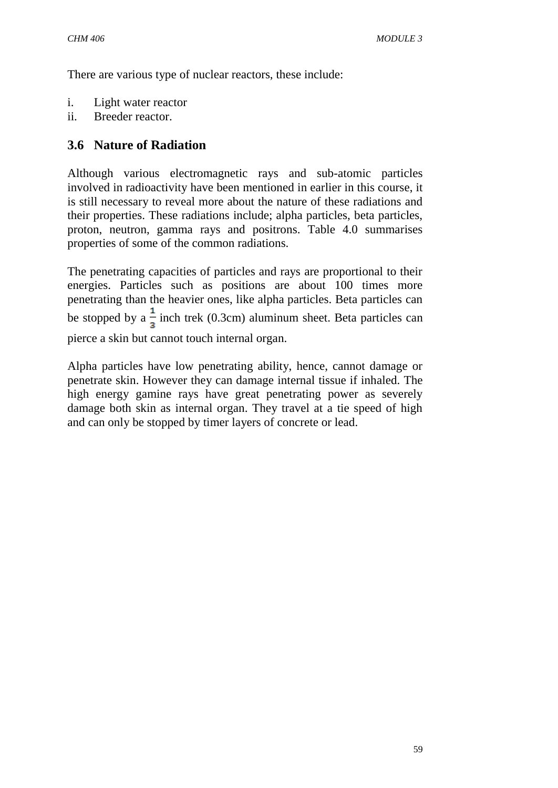There are various type of nuclear reactors, these include:

- i. Light water reactor
- ii. Breeder reactor.

# **3.6 Nature of Radiation**

Although various electromagnetic rays and sub-atomic particles involved in radioactivity have been mentioned in earlier in this course, it is still necessary to reveal more about the nature of these radiations and their properties. These radiations include; alpha particles, beta particles, proton, neutron, gamma rays and positrons. Table 4.0 summarises properties of some of the common radiations.

The penetrating capacities of particles and rays are proportional to their energies. Particles such as positions are about 100 times more penetrating than the heavier ones, like alpha particles. Beta particles can be stopped by a  $\frac{1}{2}$  inch trek (0.3cm) aluminum sheet. Beta particles can pierce a skin but cannot touch internal organ.

Alpha particles have low penetrating ability, hence, cannot damage or penetrate skin. However they can damage internal tissue if inhaled. The high energy gamine rays have great penetrating power as severely damage both skin as internal organ. They travel at a tie speed of high and can only be stopped by timer layers of concrete or lead.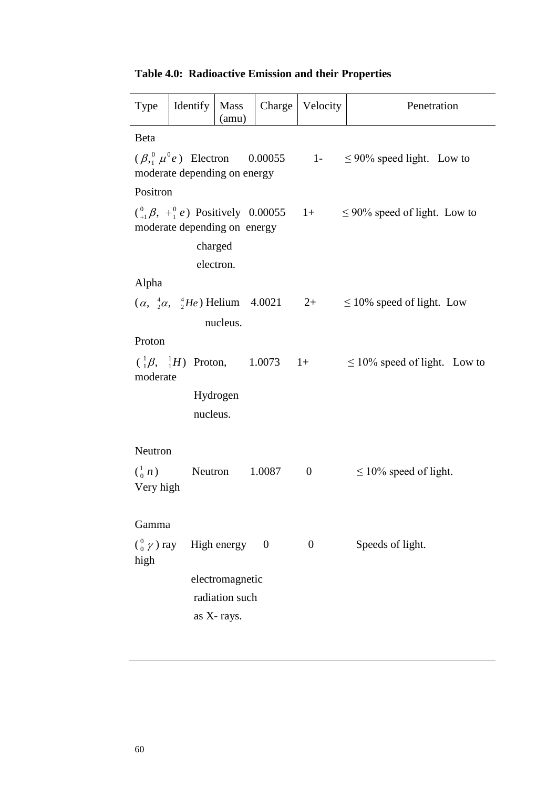|  | <b>Table 4.0: Radioactive Emission and their Properties</b> |  |  |  |
|--|-------------------------------------------------------------|--|--|--|
|--|-------------------------------------------------------------|--|--|--|

| Type                                  | Identify                                                                                            | Mass<br>(amu)                                   | Charge   | Velocity       | Penetration                        |
|---------------------------------------|-----------------------------------------------------------------------------------------------------|-------------------------------------------------|----------|----------------|------------------------------------|
| <b>Beta</b>                           |                                                                                                     |                                                 |          |                |                                    |
|                                       | $(\beta_1^0 \mu^0 e)$ Electron 0.00055 1-<br>moderate depending on energy                           |                                                 |          |                | $\leq$ 90% speed light. Low to     |
| Positron                              |                                                                                                     |                                                 |          |                |                                    |
|                                       | $\binom{0}{+1}$ $\beta$ , $\frac{0}{1}$ $e$ ) Positively 0.00055 1+<br>moderate depending on energy | charged                                         |          |                | $\leq$ 90% speed of light. Low to  |
|                                       |                                                                                                     | electron.                                       |          |                |                                    |
| Alpha                                 |                                                                                                     |                                                 |          |                |                                    |
|                                       | $(\alpha, \frac{4}{2}\alpha, \frac{4}{2}He)$ Helium 4.0021                                          |                                                 |          | $2+$           | $\leq$ 10% speed of light. Low     |
|                                       |                                                                                                     | nucleus.                                        |          |                |                                    |
| Proton                                |                                                                                                     |                                                 |          |                |                                    |
| moderate                              | $\begin{pmatrix} 1 & 0 \\ 1 & 0 \end{pmatrix}$ Proton, 1.0073                                       |                                                 |          | $1+$           | $\leq 10\%$ speed of light. Low to |
|                                       | nucleus.                                                                                            | Hydrogen                                        |          |                |                                    |
| Neutron                               |                                                                                                     |                                                 |          |                |                                    |
| $\binom{1}{0}$ n)<br>Very high        | Neutron                                                                                             |                                                 | 1.0087   | $\overline{0}$ | $\leq 10\%$ speed of light.        |
| Gamma                                 |                                                                                                     |                                                 |          |                |                                    |
| $\binom{0}{0}$ $\gamma$ ) ray<br>high |                                                                                                     | High energy                                     | $\theta$ | $\overline{0}$ | Speeds of light.                   |
|                                       |                                                                                                     | electromagnetic<br>radiation such<br>as X-rays. |          |                |                                    |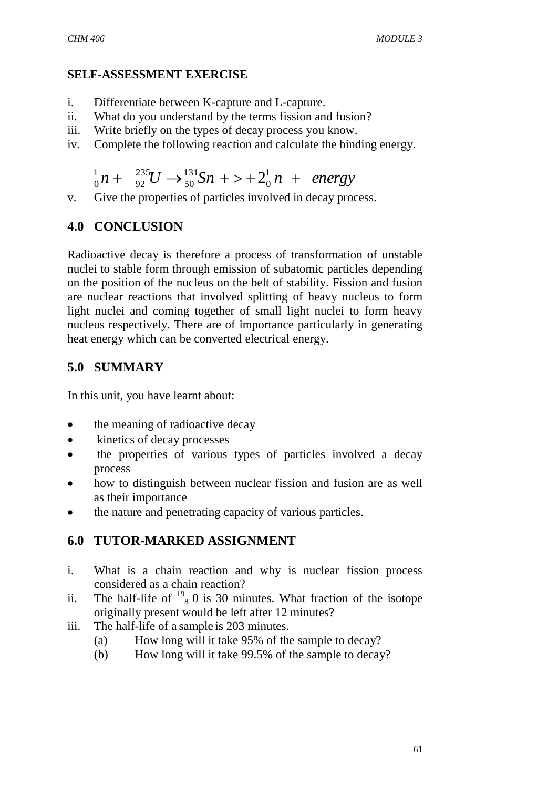## **SELF-ASSESSMENT EXERCISE**

- i. Differentiate between K-capture and L-capture.
- ii. What do you understand by the terms fission and fusion?
- iii. Write briefly on the types of decay process you know.
- iv. Complete the following reaction and calculate the binding energy.

$$
{}_{0}^{1}n + {}_{92}^{235}U \rightarrow {}_{50}^{131}Sn + > + 2{}_{0}^{1}n + energy
$$

v. Give the properties of particles involved in decay process.

# **4.0 CONCLUSION**

Radioactive decay is therefore a process of transformation of unstable nuclei to stable form through emission of subatomic particles depending on the position of the nucleus on the belt of stability. Fission and fusion are nuclear reactions that involved splitting of heavy nucleus to form light nuclei and coming together of small light nuclei to form heavy nucleus respectively. There are of importance particularly in generating heat energy which can be converted electrical energy.

# **5.0 SUMMARY**

In this unit, you have learnt about:

- the meaning of radioactive decay
- kinetics of decay processes
- the properties of various types of particles involved a decay process
- how to distinguish between nuclear fission and fusion are as well as their importance
- the nature and penetrating capacity of various particles.

# **6.0 TUTOR-MARKED ASSIGNMENT**

- i. What is a chain reaction and why is nuclear fission process considered as a chain reaction?
- ii. The half-life of  $^{19}$ <sub>8</sub> 0 is 30 minutes. What fraction of the isotope originally present would be left after 12 minutes?
- iii. The half-life of a sample is 203 minutes.
	- (a) How long will it take 95% of the sample to decay?
	- (b) How long will it take 99.5% of the sample to decay?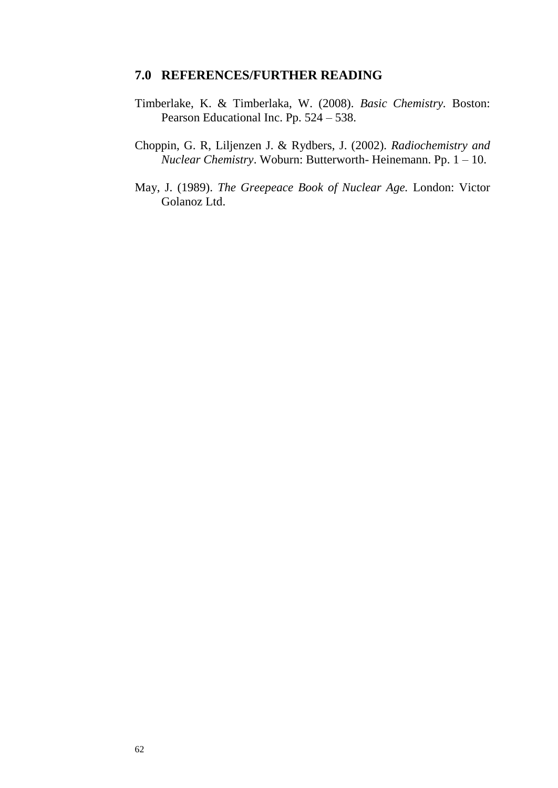#### **7.0 REFERENCES/FURTHER READING**

- Timberlake, K. & Timberlaka, W. (2008). *Basic Chemistry.* Boston: Pearson Educational Inc. Pp. 524 – 538.
- Choppin, G. R, Liljenzen J. & Rydbers, J. (2002). *Radiochemistry and Nuclear Chemistry*. Woburn: Butterworth- Heinemann. Pp. 1 – 10.
- May, J. (1989). *The Greepeace Book of Nuclear Age.* London: Victor Golanoz Ltd.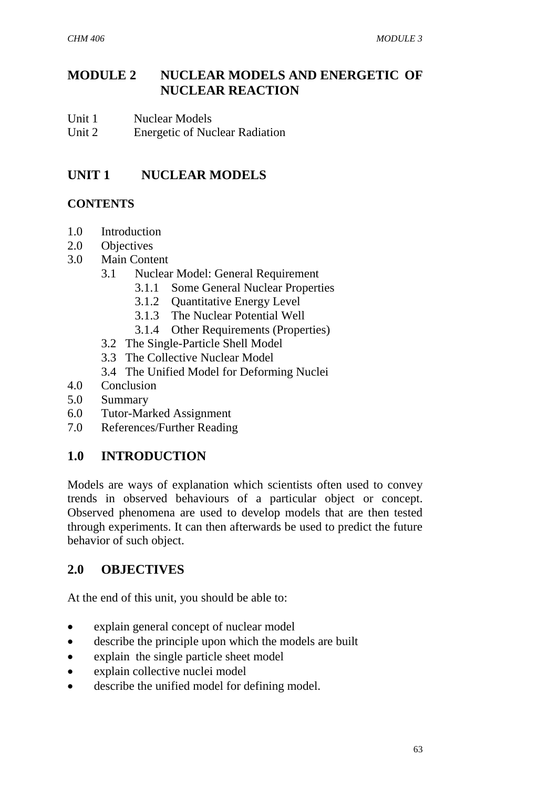# **MODULE 2 NUCLEAR MODELS AND ENERGETIC OF NUCLEAR REACTION**

Unit 1 Nuclear Models Unit 2 Energetic of Nuclear Radiation

# **UNIT 1 NUCLEAR MODELS**

# **CONTENTS**

- 1.0 Introduction
- 2.0 Objectives
- 3.0 Main Content
	- 3.1 Nuclear Model: General Requirement
		- 3.1.1 Some General Nuclear Properties
		- 3.1.2 Quantitative Energy Level
		- 3.1.3 The Nuclear Potential Well
		- 3.1.4 Other Requirements (Properties)
	- 3.2 The Single-Particle Shell Model
	- 3.3 The Collective Nuclear Model
	- 3.4 The Unified Model for Deforming Nuclei
- 4.0 Conclusion
- 5.0 Summary
- 6.0 Tutor-Marked Assignment
- 7.0 References/Further Reading

# **1.0 INTRODUCTION**

Models are ways of explanation which scientists often used to convey trends in observed behaviours of a particular object or concept. Observed phenomena are used to develop models that are then tested through experiments. It can then afterwards be used to predict the future behavior of such object.

# **2.0 OBJECTIVES**

At the end of this unit, you should be able to:

- explain general concept of nuclear model
- describe the principle upon which the models are built
- explain the single particle sheet model
- explain collective nuclei model
- describe the unified model for defining model.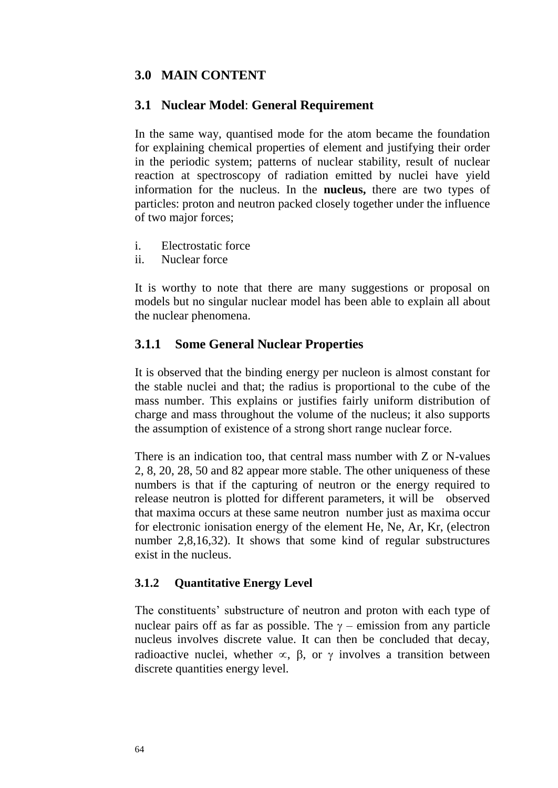## **3.0 MAIN CONTENT**

#### **3.1 Nuclear Model**: **General Requirement**

In the same way, quantised mode for the atom became the foundation for explaining chemical properties of element and justifying their order in the periodic system; patterns of nuclear stability, result of nuclear reaction at spectroscopy of radiation emitted by nuclei have yield information for the nucleus. In the **nucleus,** there are two types of particles: proton and neutron packed closely together under the influence of two major forces;

- i. Electrostatic force
- ii. Nuclear force

It is worthy to note that there are many suggestions or proposal on models but no singular nuclear model has been able to explain all about the nuclear phenomena.

#### **3.1.1 Some General Nuclear Properties**

It is observed that the binding energy per nucleon is almost constant for the stable nuclei and that; the radius is proportional to the cube of the mass number. This explains or justifies fairly uniform distribution of charge and mass throughout the volume of the nucleus; it also supports the assumption of existence of a strong short range nuclear force.

There is an indication too, that central mass number with Z or N-values 2, 8, 20, 28, 50 and 82 appear more stable. The other uniqueness of these numbers is that if the capturing of neutron or the energy required to release neutron is plotted for different parameters, it will be observed that maxima occurs at these same neutron number just as maxima occur for electronic ionisation energy of the element He, Ne, Ar, Kr, (electron number 2,8,16,32). It shows that some kind of regular substructures exist in the nucleus.

#### **3.1.2 Quantitative Energy Level**

The constituents' substructure of neutron and proton with each type of nuclear pairs off as far as possible. The  $\gamma$  – emission from any particle nucleus involves discrete value. It can then be concluded that decay, radioactive nuclei, whether  $\infty$ ,  $\beta$ , or  $\gamma$  involves a transition between discrete quantities energy level.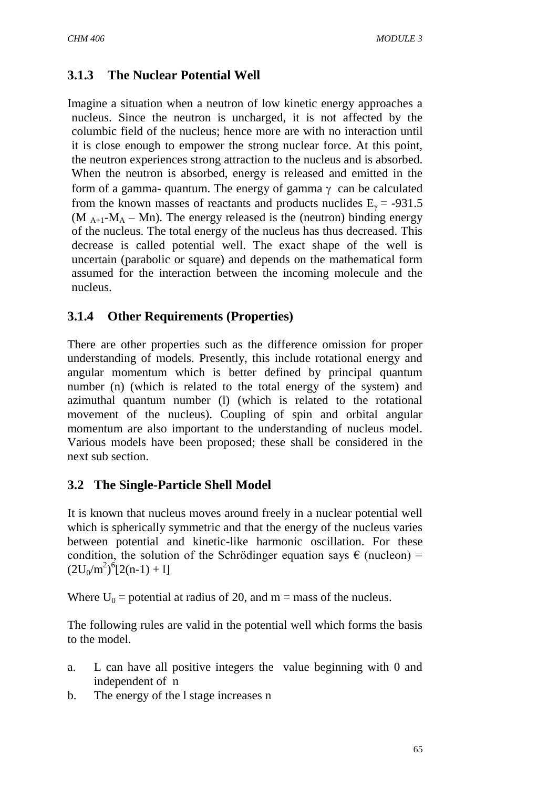# **3.1.3 The Nuclear Potential Well**

Imagine a situation when a neutron of low kinetic energy approaches a nucleus. Since the neutron is uncharged, it is not affected by the columbic field of the nucleus; hence more are with no interaction until it is close enough to empower the strong nuclear force. At this point, the neutron experiences strong attraction to the nucleus and is absorbed. When the neutron is absorbed, energy is released and emitted in the form of a gamma- quantum. The energy of gamma  $\gamma$  can be calculated from the known masses of reactants and products nuclides  $E<sub>v</sub> = -931.5$ (M  $_{A+1}$ -M<sub>A</sub> – Mn). The energy released is the (neutron) binding energy of the nucleus. The total energy of the nucleus has thus decreased. This decrease is called potential well. The exact shape of the well is uncertain (parabolic or square) and depends on the mathematical form assumed for the interaction between the incoming molecule and the nucleus.

# **3.1.4 Other Requirements (Properties)**

There are other properties such as the difference omission for proper understanding of models. Presently, this include rotational energy and angular momentum which is better defined by principal quantum number (n) (which is related to the total energy of the system) and azimuthal quantum number (l) (which is related to the rotational movement of the nucleus). Coupling of spin and orbital angular momentum are also important to the understanding of nucleus model. Various models have been proposed; these shall be considered in the next sub section.

# **3.2 The Single-Particle Shell Model**

It is known that nucleus moves around freely in a nuclear potential well which is spherically symmetric and that the energy of the nucleus varies between potential and kinetic-like harmonic oscillation. For these condition, the solution of the Schrödinger equation says  $\epsilon$  (nucleon) =  $(2U_0/m^2)^6 [2(n-1) + 1]$ 

Where  $U_0$  = potential at radius of 20, and m = mass of the nucleus.

The following rules are valid in the potential well which forms the basis to the model.

- a. L can have all positive integers the value beginning with 0 and independent of n
- b. The energy of the l stage increases n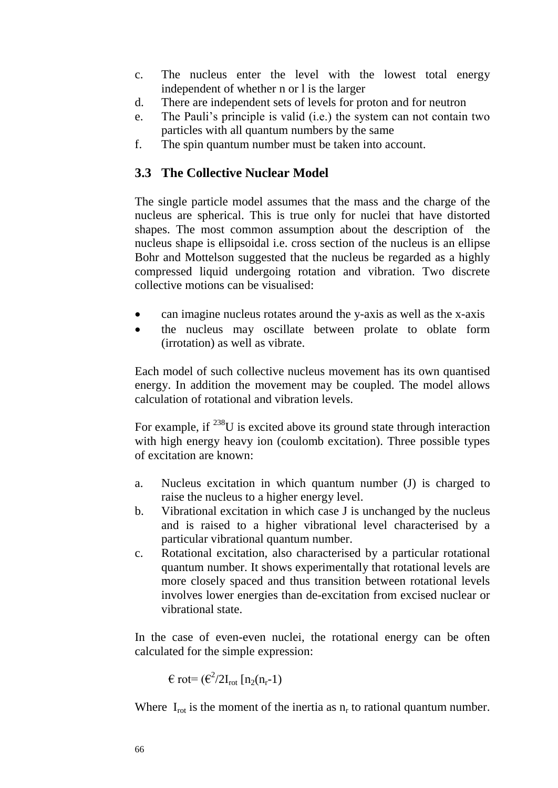- c. The nucleus enter the level with the lowest total energy independent of whether n or l is the larger
- d. There are independent sets of levels for proton and for neutron
- e. The Pauli's principle is valid (i.e.) the system can not contain two particles with all quantum numbers by the same
- f. The spin quantum number must be taken into account.

# **3.3 The Collective Nuclear Model**

The single particle model assumes that the mass and the charge of the nucleus are spherical. This is true only for nuclei that have distorted shapes. The most common assumption about the description of the nucleus shape is ellipsoidal i.e. cross section of the nucleus is an ellipse Bohr and Mottelson suggested that the nucleus be regarded as a highly compressed liquid undergoing rotation and vibration. Two discrete collective motions can be visualised:

- can imagine nucleus rotates around the y-axis as well as the x-axis
- the nucleus may oscillate between prolate to oblate form (irrotation) as well as vibrate.

Each model of such collective nucleus movement has its own quantised energy. In addition the movement may be coupled. The model allows calculation of rotational and vibration levels.

For example, if <sup>238</sup>U is excited above its ground state through interaction with high energy heavy ion (coulomb excitation). Three possible types of excitation are known:

- a. Nucleus excitation in which quantum number (J) is charged to raise the nucleus to a higher energy level.
- b. Vibrational excitation in which case J is unchanged by the nucleus and is raised to a higher vibrational level characterised by a particular vibrational quantum number.
- c. Rotational excitation, also characterised by a particular rotational quantum number. It shows experimentally that rotational levels are more closely spaced and thus transition between rotational levels involves lower energies than de-excitation from excised nuclear or vibrational state.

In the case of even-even nuclei, the rotational energy can be often calculated for the simple expression:

 $\epsilon$  rot=  $(\epsilon^2/2I_{\rm rot}$  [n<sub>2</sub>(n<sub>r</sub>-1)

Where  $I_{\text{rot}}$  is the moment of the inertia as  $n_r$  to rational quantum number.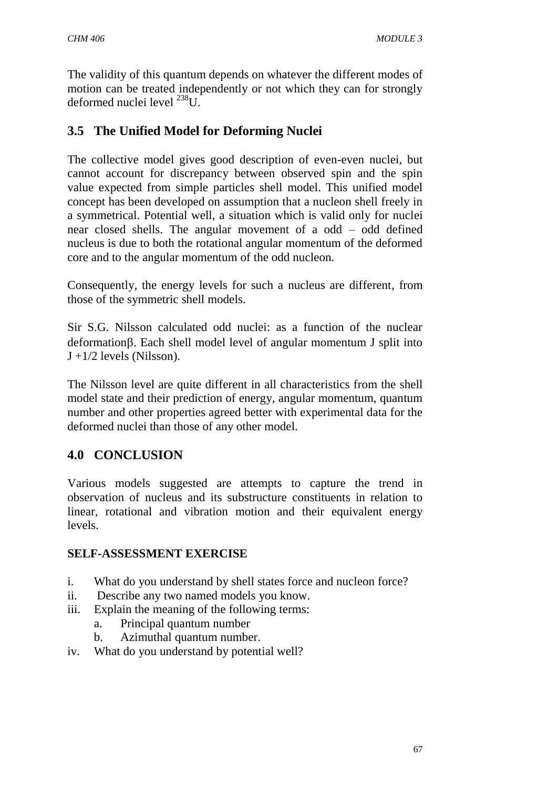The validity of this quantum depends on whatever the different modes of motion can be treated independently or not which they can for strongly deformed nuclei level  $^{238}$ U.

# **3.5 The Unified Model for Deforming Nuclei**

The collective model gives good description of even-even nuclei, but cannot account for discrepancy between observed spin and the spin value expected from simple particles shell model. This unified model concept has been developed on assumption that a nucleon shell freely in a symmetrical. Potential well, a situation which is valid only for nuclei near closed shells. The angular movement of a odd – odd defined nucleus is due to both the rotational angular momentum of the deformed core and to the angular momentum of the odd nucleon.

Consequently, the energy levels for such a nucleus are different, from those of the symmetric shell models.

Sir S.G. Nilsson calculated odd nuclei: as a function of the nuclear deformation. Each shell model level of angular momentum J split into  $J +1/2$  levels (Nilsson).

The Nilsson level are quite different in all characteristics from the shell model state and their prediction of energy, angular momentum, quantum number and other properties agreed better with experimental data for the deformed nuclei than those of any other model.

# **4.0 CONCLUSION**

Various models suggested are attempts to capture the trend in observation of nucleus and its substructure constituents in relation to linear, rotational and vibration motion and their equivalent energy levels.

## **SELF-ASSESSMENT EXERCISE**

- i. What do you understand by shell states force and nucleon force?
- ii. Describe any two named models you know.
- iii. Explain the meaning of the following terms:
	- a. Principal quantum number
	- b. Azimuthal quantum number.
- iv. What do you understand by potential well?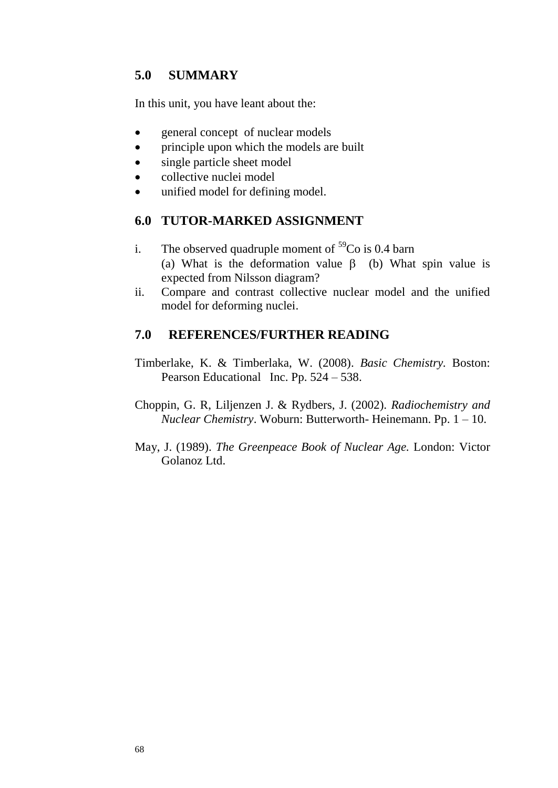# **5.0 SUMMARY**

In this unit, you have leant about the:

- general concept of nuclear models
- principle upon which the models are built
- single particle sheet model
- collective nuclei model
- unified model for defining model.

## **6.0 TUTOR-MARKED ASSIGNMENT**

- i. The observed quadruple moment of  $59^{\circ}$ Co is 0.4 barn (a) What is the deformation value  $\beta$  (b) What spin value is expected from Nilsson diagram?
- ii. Compare and contrast collective nuclear model and the unified model for deforming nuclei.

## **7.0 REFERENCES/FURTHER READING**

- Timberlake, K. & Timberlaka, W. (2008). *Basic Chemistry.* Boston: Pearson Educational Inc. Pp. 524 – 538.
- Choppin, G. R, Liljenzen J. & Rydbers, J. (2002). *Radiochemistry and Nuclear Chemistry*. Woburn: Butterworth- Heinemann. Pp. 1 – 10.
- May, J. (1989). *The Greenpeace Book of Nuclear Age.* London: Victor Golanoz Ltd.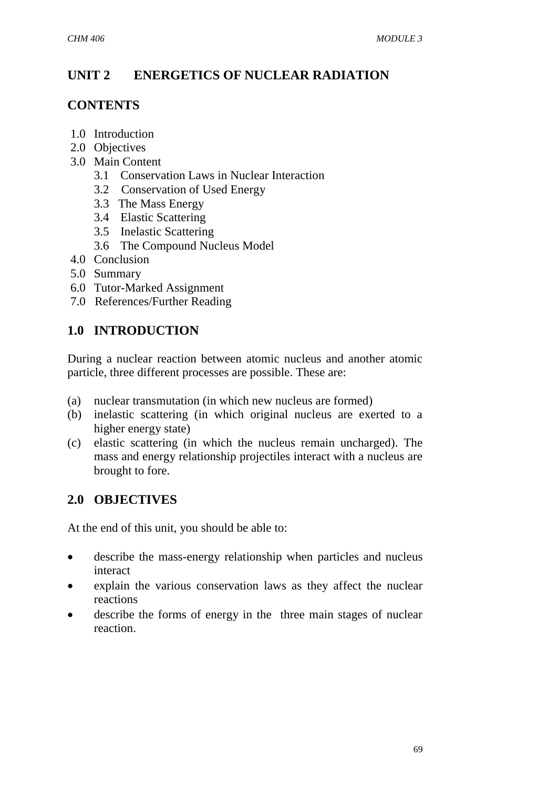# **UNIT 2 ENERGETICS OF NUCLEAR RADIATION**

# **CONTENTS**

- 1.0 Introduction
- 2.0 Objectives
- 3.0 Main Content
	- 3.1 Conservation Laws in Nuclear Interaction
	- 3.2 Conservation of Used Energy
	- 3.3 The Mass Energy
	- 3.4 Elastic Scattering
	- 3.5 Inelastic Scattering
	- 3.6 The Compound Nucleus Model
- 4.0 Conclusion
- 5.0 Summary
- 6.0 Tutor-Marked Assignment
- 7.0 References/Further Reading

# **1.0 INTRODUCTION**

During a nuclear reaction between atomic nucleus and another atomic particle, three different processes are possible. These are:

- (a) nuclear transmutation (in which new nucleus are formed)
- (b) inelastic scattering (in which original nucleus are exerted to a higher energy state)
- (c) elastic scattering (in which the nucleus remain uncharged). The mass and energy relationship projectiles interact with a nucleus are brought to fore.

# **2.0 OBJECTIVES**

At the end of this unit, you should be able to:

- describe the mass-energy relationship when particles and nucleus interact
- explain the various conservation laws as they affect the nuclear reactions
- describe the forms of energy in the three main stages of nuclear reaction.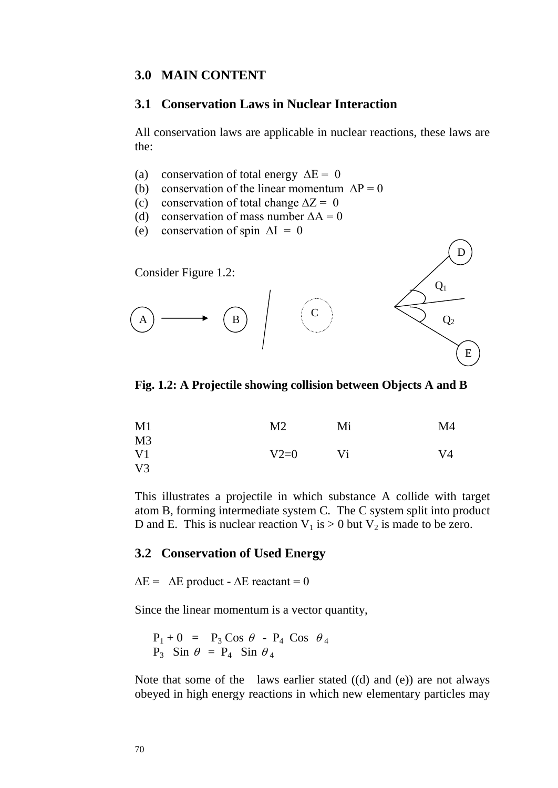#### **3.0 MAIN CONTENT**

#### **3.1 Conservation Laws in Nuclear Interaction**

All conservation laws are applicable in nuclear reactions, these laws are the:

- (a) conservation of total energy  $\Delta E = 0$
- (b) conservation of the linear momentum  $\Delta P = 0$
- (c) conservation of total change  $\Delta Z = 0$
- (d) conservation of mass number  $\Delta A = 0$
- (e) conservation of spin  $\Delta I = 0$



**Fig. 1.2: A Projectile showing collision between Objects A and B**

| M1             | M <sub>2</sub> | Mi | M4 |
|----------------|----------------|----|----|
| M <sub>3</sub> |                |    |    |
| V <sub>1</sub> | $V2=0$         | Vi | V4 |
| $V_3$          |                |    |    |

This illustrates a projectile in which substance A collide with target atom B, forming intermediate system C. The C system split into product D and E. This is nuclear reaction  $V_1$  is  $> 0$  but  $V_2$  is made to be zero.

#### **3.2 Conservation of Used Energy**

 $\Delta E = \Delta E$  product -  $\Delta E$  reactant = 0

Since the linear momentum is a vector quantity,

$$
P_1 + 0 = P_3 \cos \theta - P_4 \cos \theta_4
$$
  
\n
$$
P_3 \sin \theta = P_4 \sin \theta_4
$$

Note that some of the laws earlier stated ((d) and (e)) are not always obeyed in high energy reactions in which new elementary particles may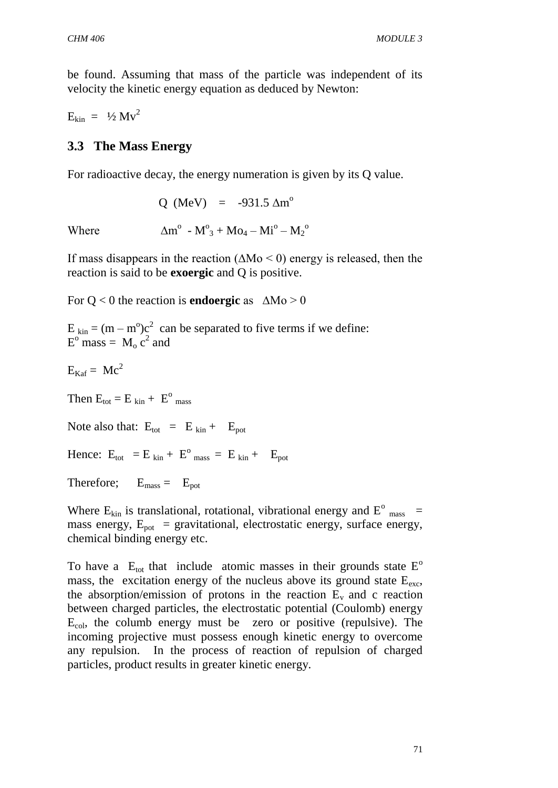be found. Assuming that mass of the particle was independent of its velocity the kinetic energy equation as deduced by Newton:

 $E_{kin} = \frac{1}{2} Mv^2$ 

## **3.3 The Mass Energy**

For radioactive decay, the energy numeration is given by its Q value.

 $O$  (MeV) = -931.5  $\Delta m^{\circ}$ 

Where  $-M^0_3 + Mo_4 - Mi^0 - M_2^0$ 

If mass disappears in the reaction (∆Mo < 0) energy is released, then the reaction is said to be **exoergic** and Q is positive.

For Q < 0 the reaction is **endoergic** as ∆Mo > 0

 $E_{kin} = (m - m^{\circ})c^2$  can be separated to five terms if we define:  $E^{\text{o}}$  mass =  $M_{\text{o}} c^2$  and

$$
E_{Kaf} = \, Mc^2
$$

Then  $E_{\text{tot}} = E_{\text{kin}} + E^{\text{o}}_{\text{mass}}$ 

Note also that:  $E_{\text{tot}} = E_{\text{kin}} + E_{\text{pot}}$ 

Hence:  $E_{\text{tot}} = E_{\text{kin}} + E^{\text{o}}_{\text{mass}} = E_{\text{kin}} + E_{\text{pot}}$ 

Therefore;  $E_{\text{mass}} = E_{\text{pot}}$ 

Where  $E_{kin}$  is translational, rotational, vibrational energy and  $E^{\circ}$  mass = mass energy,  $E_{pot}$  = gravitational, electrostatic energy, surface energy, chemical binding energy etc.

To have a  $E_{\text{tot}}$  that include atomic masses in their grounds state  $E^{\circ}$ mass, the excitation energy of the nucleus above its ground state  $E_{\text{exc}}$ , the absorption/emission of protons in the reaction  $E_v$  and c reaction between charged particles, the electrostatic potential (Coulomb) energy  $E_{\text{col}}$ , the columb energy must be zero or positive (repulsive). The incoming projective must possess enough kinetic energy to overcome any repulsion. In the process of reaction of repulsion of charged particles, product results in greater kinetic energy.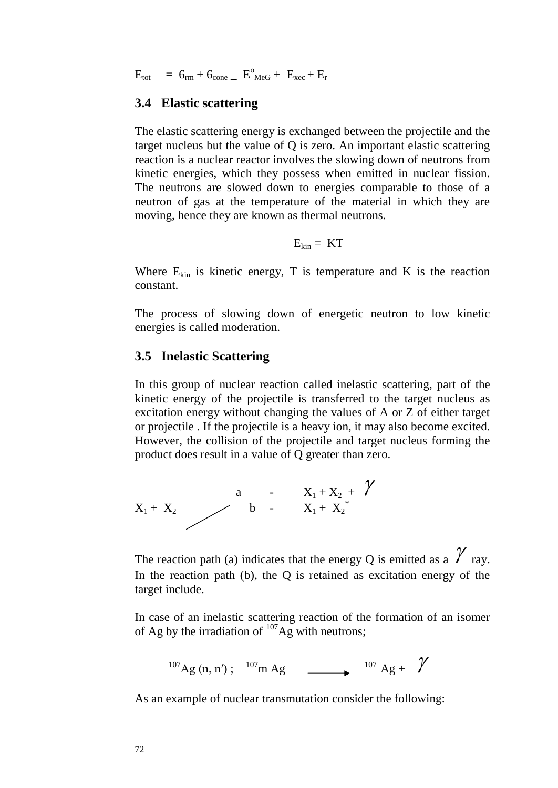$E_{\text{tot}}$  = 6<sub>rm</sub> + 6<sub>cone</sub> \_  $E_{\text{MeG}}^{\circ}$  +  $E_{\text{xec}}$  +  $E_{\text{r}}$ 

#### **3.4 Elastic scattering**

The elastic scattering energy is exchanged between the projectile and the target nucleus but the value of Q is zero. An important elastic scattering reaction is a nuclear reactor involves the slowing down of neutrons from kinetic energies, which they possess when emitted in nuclear fission. The neutrons are slowed down to energies comparable to those of a neutron of gas at the temperature of the material in which they are moving, hence they are known as thermal neutrons.

$$
E_{\rm kin} = KT
$$

Where  $E_{kin}$  is kinetic energy, T is temperature and K is the reaction constant.

The process of slowing down of energetic neutron to low kinetic energies is called moderation.

#### **3.5 Inelastic Scattering**

In this group of nuclear reaction called inelastic scattering, part of the kinetic energy of the projectile is transferred to the target nucleus as excitation energy without changing the values of A or Z of either target or projectile . If the projectile is a heavy ion, it may also become excited. However, the collision of the projectile and target nucleus forming the product does result in a value of Q greater than zero.

$$
x_{1} + x_{2} \xrightarrow{a} b - x_{1} + x_{2} + \gamma
$$

The reaction path (a) indicates that the energy Q is emitted as a  $\gamma$  ray. In the reaction path (b), the O is retained as excitation energy of the target include.

In case of an inelastic scattering reaction of the formation of an isomer of Ag by the irradiation of  $107\text{Ag}$  with neutrons;

$$
^{107}
$$
Ag (n, n');  $^{107}$ m Ag  $\longrightarrow$   $^{107}$  Ag +  $\gamma$ 

As an example of nuclear transmutation consider the following: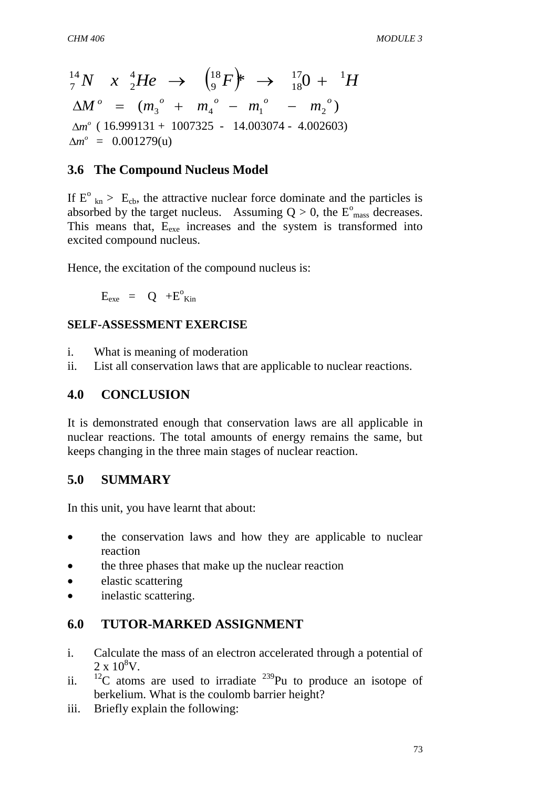73 *N x He F H* 17 1 18 18 9 4 2 14 <sup>7</sup> \* 0 ( ) 3 4 1 2 *o o o o o M m m m m <sup>o</sup> m* ( 16.999131 + 1007325 - 14.003074 - 4.002603) *<sup>o</sup> m* = 0.001279(u)

# **3.6 The Compound Nucleus Model**

If  $E^{\circ}$ <sub>kn</sub> > E<sub>cb</sub>, the attractive nuclear force dominate and the particles is absorbed by the target nucleus. Assuming  $Q > 0$ , the  $E^{\circ}$ <sub>mass</sub> decreases. This means that,  $E_{\text{exe}}$  increases and the system is transformed into excited compound nucleus.

Hence, the excitation of the compound nucleus is:

 $E_{\text{exe}}$  = Q + $E^{\circ}_{\text{Kin}}$ 

#### **SELF-ASSESSMENT EXERCISE**

- i. What is meaning of moderation
- ii. List all conservation laws that are applicable to nuclear reactions.

#### **4.0 CONCLUSION**

It is demonstrated enough that conservation laws are all applicable in nuclear reactions. The total amounts of energy remains the same, but keeps changing in the three main stages of nuclear reaction.

## **5.0 SUMMARY**

In this unit, you have learnt that about:

- the conservation laws and how they are applicable to nuclear reaction
- the three phases that make up the nuclear reaction
- elastic scattering
- inelastic scattering.

## **6.0 TUTOR-MARKED ASSIGNMENT**

- i. Calculate the mass of an electron accelerated through a potential of  $2 \times 10^8$ V.
- ii.  $12^{\circ}$  atoms are used to irradiate  $239^{\circ}$ Pu to produce an isotope of berkelium. What is the coulomb barrier height?
- iii. Briefly explain the following: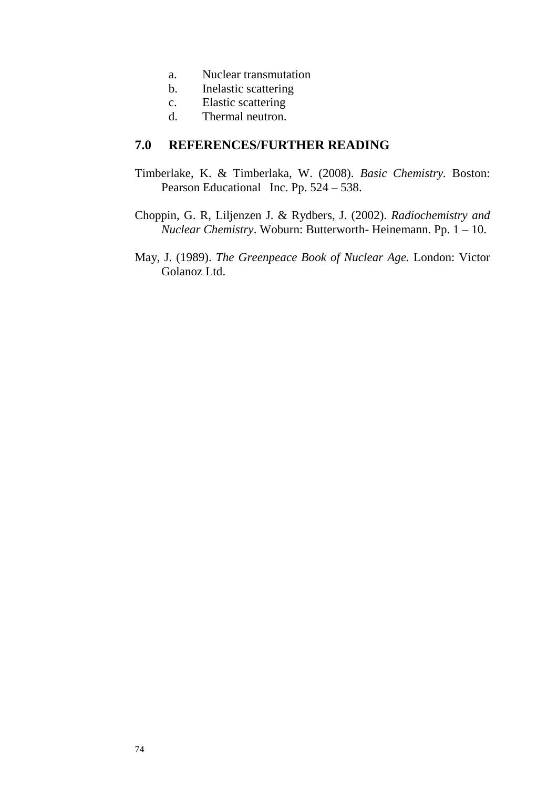- a. Nuclear transmutation
- b. Inelastic scattering
- c. Elastic scattering
- d. Thermal neutron.

#### **7.0 REFERENCES/FURTHER READING**

- Timberlake, K. & Timberlaka, W. (2008). *Basic Chemistry.* Boston: Pearson Educational Inc. Pp. 524 – 538.
- Choppin, G. R, Liljenzen J. & Rydbers, J. (2002). *Radiochemistry and Nuclear Chemistry*. Woburn: Butterworth- Heinemann. Pp. 1 – 10.
- May, J. (1989). *The Greenpeace Book of Nuclear Age.* London: Victor Golanoz Ltd.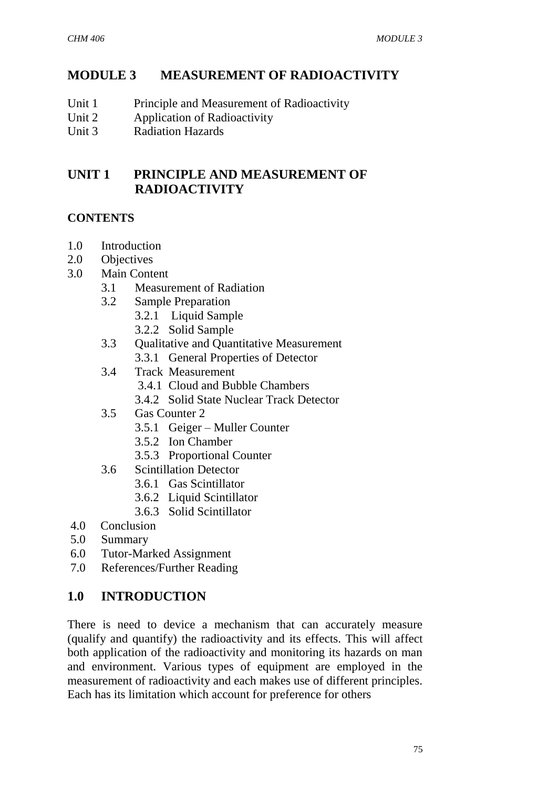# **MODULE 3 MEASUREMENT OF RADIOACTIVITY**

- Unit 1 Principle and Measurement of Radioactivity
- Unit 2 Application of Radioactivity
- Unit 3 Radiation Hazards

# **UNIT 1 PRINCIPLE AND MEASUREMENT OF RADIOACTIVITY**

#### **CONTENTS**

- 1.0 Introduction
- 2.0 Objectives
- 3.0 Main Content
	- 3.1 Measurement of Radiation
	- 3.2 Sample Preparation
		- 3.2.1 Liquid Sample
		- 3.2.2 Solid Sample
	- 3.3 Qualitative and Quantitative Measurement
		- 3.3.1 General Properties of Detector
	- 3.4 Track Measurement
		- 3.4.1 Cloud and Bubble Chambers
		- 3.4.2 Solid State Nuclear Track Detector
	- 3.5 Gas Counter 2
		- 3.5.1 Geiger Muller Counter
		- 3.5.2 Ion Chamber
		- 3.5.3 Proportional Counter
	- 3.6 Scintillation Detector
		- 3.6.1 Gas Scintillator
		- 3.6.2 Liquid Scintillator
		- 3.6.3 Solid Scintillator
- 4.0 Conclusion
- 5.0 Summary
- 6.0 Tutor-Marked Assignment
- 7.0 References/Further Reading

# **1.0 INTRODUCTION**

There is need to device a mechanism that can accurately measure (qualify and quantify) the radioactivity and its effects. This will affect both application of the radioactivity and monitoring its hazards on man and environment. Various types of equipment are employed in the measurement of radioactivity and each makes use of different principles. Each has its limitation which account for preference for others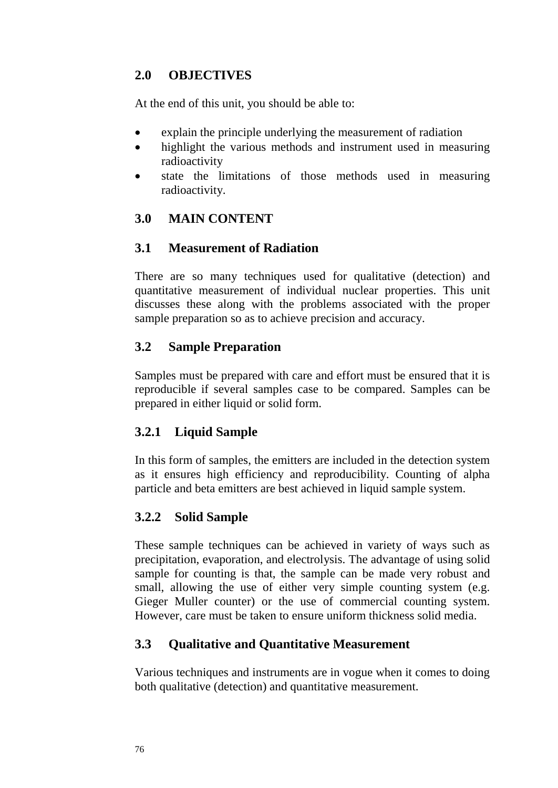# **2.0 OBJECTIVES**

At the end of this unit, you should be able to:

- explain the principle underlying the measurement of radiation
- highlight the various methods and instrument used in measuring radioactivity
- state the limitations of those methods used in measuring radioactivity.

# **3.0 MAIN CONTENT**

## **3.1 Measurement of Radiation**

There are so many techniques used for qualitative (detection) and quantitative measurement of individual nuclear properties. This unit discusses these along with the problems associated with the proper sample preparation so as to achieve precision and accuracy.

## **3.2 Sample Preparation**

Samples must be prepared with care and effort must be ensured that it is reproducible if several samples case to be compared. Samples can be prepared in either liquid or solid form.

## **3.2.1 Liquid Sample**

In this form of samples, the emitters are included in the detection system as it ensures high efficiency and reproducibility. Counting of alpha particle and beta emitters are best achieved in liquid sample system.

# **3.2.2 Solid Sample**

These sample techniques can be achieved in variety of ways such as precipitation, evaporation, and electrolysis. The advantage of using solid sample for counting is that, the sample can be made very robust and small, allowing the use of either very simple counting system (e.g. Gieger Muller counter) or the use of commercial counting system. However, care must be taken to ensure uniform thickness solid media.

# **3.3 Qualitative and Quantitative Measurement**

Various techniques and instruments are in vogue when it comes to doing both qualitative (detection) and quantitative measurement.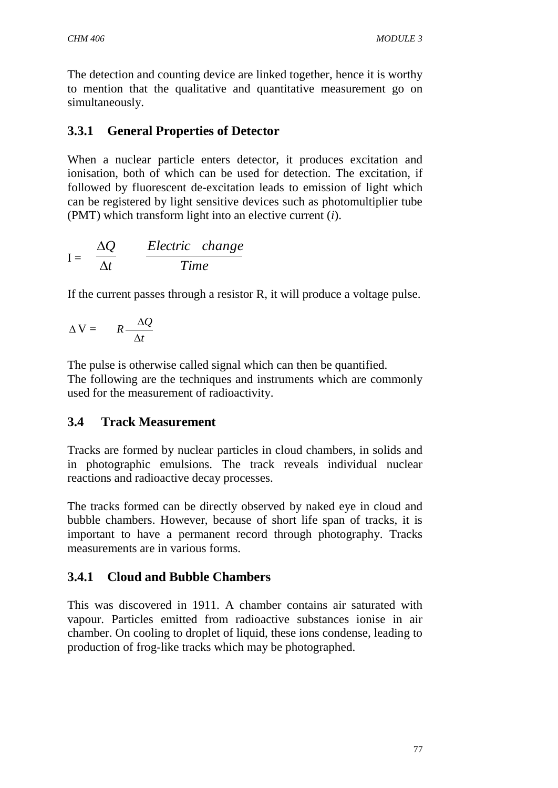The detection and counting device are linked together, hence it is worthy to mention that the qualitative and quantitative measurement go on simultaneously.

# **3.3.1 General Properties of Detector**

When a nuclear particle enters detector, it produces excitation and ionisation, both of which can be used for detection. The excitation, if followed by fluorescent de-excitation leads to emission of light which can be registered by light sensitive devices such as photomultiplier tube (PMT) which transform light into an elective current (*i*).

$$
I = \frac{\Delta Q}{\Delta t} \qquad \frac{Electric \ \ change}{Time}
$$

If the current passes through a resistor R, it will produce a voltage pulse.

$$
\Delta V = R - \frac{\Delta Q}{\Delta t}
$$

The pulse is otherwise called signal which can then be quantified. The following are the techniques and instruments which are commonly used for the measurement of radioactivity.

## **3.4 Track Measurement**

Tracks are formed by nuclear particles in cloud chambers, in solids and in photographic emulsions. The track reveals individual nuclear reactions and radioactive decay processes.

The tracks formed can be directly observed by naked eye in cloud and bubble chambers. However, because of short life span of tracks, it is important to have a permanent record through photography. Tracks measurements are in various forms.

# **3.4.1 Cloud and Bubble Chambers**

This was discovered in 1911. A chamber contains air saturated with vapour. Particles emitted from radioactive substances ionise in air chamber. On cooling to droplet of liquid, these ions condense, leading to production of frog-like tracks which may be photographed.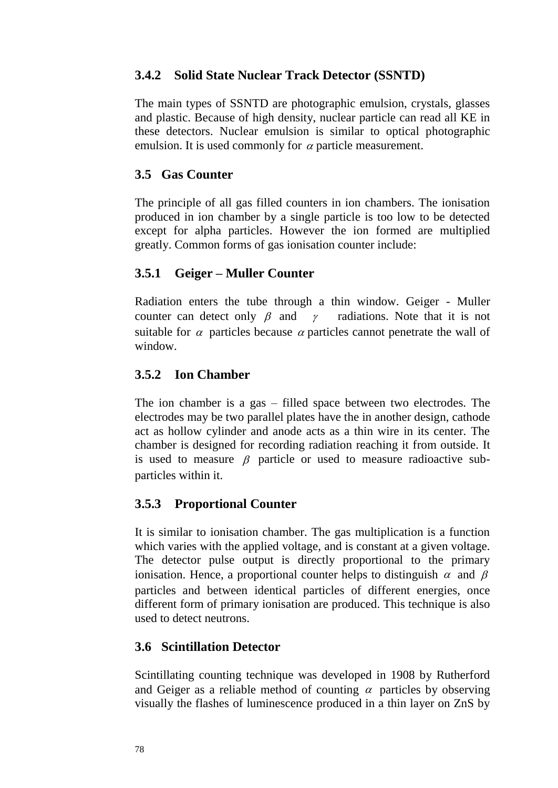## **3.4.2 Solid State Nuclear Track Detector (SSNTD)**

The main types of SSNTD are photographic emulsion, crystals, glasses and plastic. Because of high density, nuclear particle can read all KE in these detectors. Nuclear emulsion is similar to optical photographic emulsion. It is used commonly for  $\alpha$  particle measurement.

## **3.5 Gas Counter**

The principle of all gas filled counters in ion chambers. The ionisation produced in ion chamber by a single particle is too low to be detected except for alpha particles. However the ion formed are multiplied greatly. Common forms of gas ionisation counter include:

## **3.5.1 Geiger – Muller Counter**

Radiation enters the tube through a thin window. Geiger - Muller counter can detect only  $\beta$  and  $\gamma$  radiations. Note that it is not suitable for  $\alpha$  particles because  $\alpha$  particles cannot penetrate the wall of window.

## **3.5.2 Ion Chamber**

The ion chamber is a gas – filled space between two electrodes. The electrodes may be two parallel plates have the in another design, cathode act as hollow cylinder and anode acts as a thin wire in its center. The chamber is designed for recording radiation reaching it from outside. It is used to measure  $\beta$  particle or used to measure radioactive subparticles within it.

# **3.5.3 Proportional Counter**

It is similar to ionisation chamber. The gas multiplication is a function which varies with the applied voltage, and is constant at a given voltage. The detector pulse output is directly proportional to the primary ionisation. Hence, a proportional counter helps to distinguish  $\alpha$  and  $\beta$ particles and between identical particles of different energies, once different form of primary ionisation are produced. This technique is also used to detect neutrons.

# **3.6 Scintillation Detector**

Scintillating counting technique was developed in 1908 by Rutherford and Geiger as a reliable method of counting  $\alpha$  particles by observing visually the flashes of luminescence produced in a thin layer on ZnS by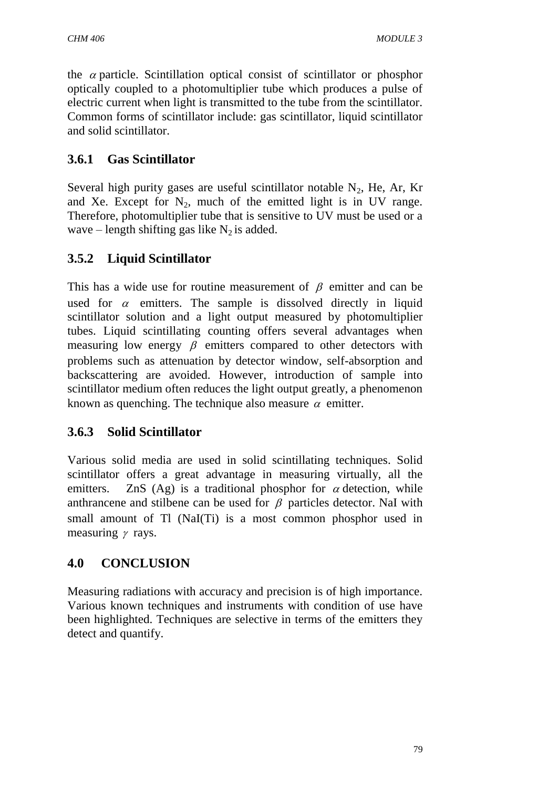the  $\alpha$  particle. Scintillation optical consist of scintillator or phosphor optically coupled to a photomultiplier tube which produces a pulse of electric current when light is transmitted to the tube from the scintillator. Common forms of scintillator include: gas scintillator, liquid scintillator and solid scintillator.

# **3.6.1 Gas Scintillator**

Several high purity gases are useful scintillator notable  $N_2$ , He, Ar, Kr and Xe. Except for  $N_2$ , much of the emitted light is in UV range. Therefore, photomultiplier tube that is sensitive to UV must be used or a wave – length shifting gas like  $N_2$  is added.

# **3.5.2 Liquid Scintillator**

This has a wide use for routine measurement of  $\beta$  emitter and can be used for  $\alpha$  emitters. The sample is dissolved directly in liquid scintillator solution and a light output measured by photomultiplier tubes. Liquid scintillating counting offers several advantages when measuring low energy  $\beta$  emitters compared to other detectors with problems such as attenuation by detector window, self-absorption and backscattering are avoided. However, introduction of sample into scintillator medium often reduces the light output greatly, a phenomenon known as quenching. The technique also measure  $\alpha$  emitter.

# **3.6.3 Solid Scintillator**

Various solid media are used in solid scintillating techniques. Solid scintillator offers a great advantage in measuring virtually, all the emitters. ZnS (Ag) is a traditional phosphor for  $\alpha$  detection, while anthrancene and stilbene can be used for  $\beta$  particles detector. NaI with small amount of Tl (NaI(Ti) is a most common phosphor used in measuring  $\gamma$  rays.

# **4.0 CONCLUSION**

Measuring radiations with accuracy and precision is of high importance. Various known techniques and instruments with condition of use have been highlighted. Techniques are selective in terms of the emitters they detect and quantify.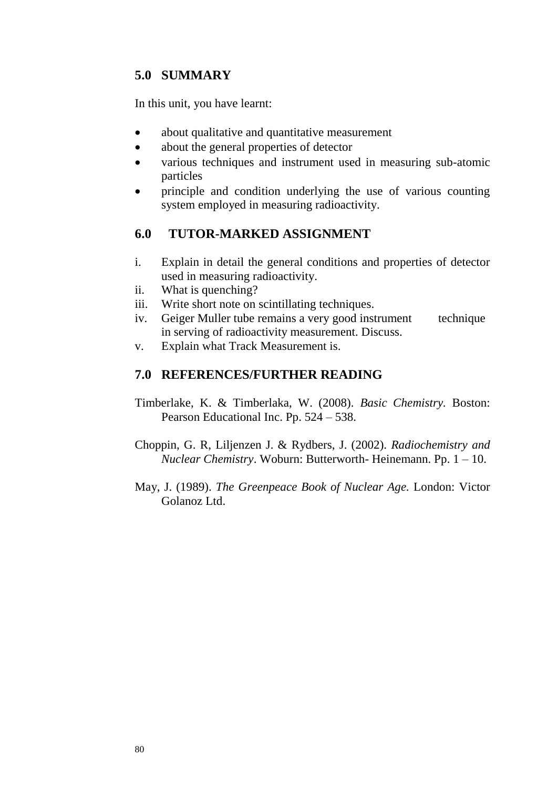# **5.0 SUMMARY**

In this unit, you have learnt:

- about qualitative and quantitative measurement
- about the general properties of detector
- various techniques and instrument used in measuring sub-atomic particles
- principle and condition underlying the use of various counting system employed in measuring radioactivity.

#### **6.0 TUTOR-MARKED ASSIGNMENT**

- i. Explain in detail the general conditions and properties of detector used in measuring radioactivity.
- ii. What is quenching?
- iii. Write short note on scintillating techniques.
- iv. Geiger Muller tube remains a very good instrument technique in serving of radioactivity measurement. Discuss.
- v. Explain what Track Measurement is.

#### **7.0 REFERENCES/FURTHER READING**

- Timberlake, K. & Timberlaka, W. (2008). *Basic Chemistry.* Boston: Pearson Educational Inc. Pp. 524 – 538.
- Choppin, G. R, Liljenzen J. & Rydbers, J. (2002). *Radiochemistry and Nuclear Chemistry*. Woburn: Butterworth- Heinemann. Pp. 1 – 10.
- May, J. (1989). *The Greenpeace Book of Nuclear Age.* London: Victor Golanoz Ltd.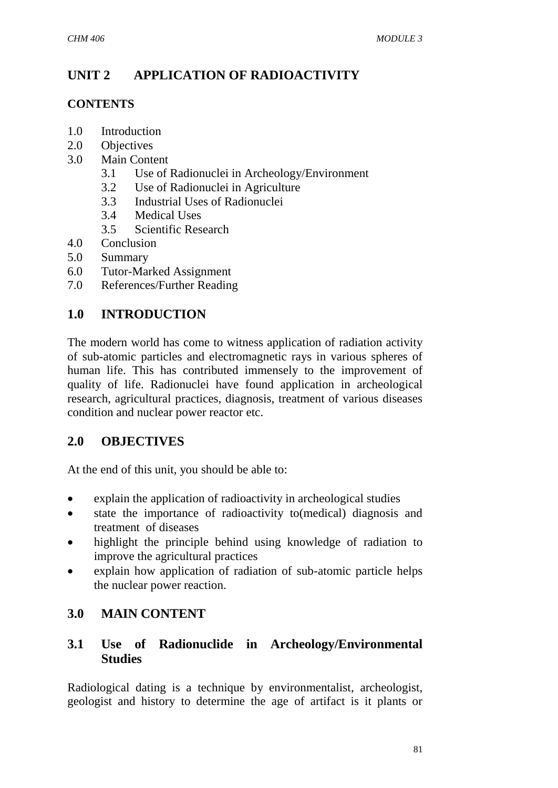# **UNIT 2 APPLICATION OF RADIOACTIVITY**

#### **CONTENTS**

- 1.0 Introduction
- 2.0 Objectives
- 3.0 Main Content
	- 3.1 Use of Radionuclei in Archeology/Environment
	- 3.2 Use of Radionuclei in Agriculture
	- 3.3 Industrial Uses of Radionuclei
	- 3.4 Medical Uses
	- 3.5 Scientific Research
- 4.0 Conclusion
- 5.0 Summary
- 6.0 Tutor-Marked Assignment
- 7.0 References/Further Reading

## **1.0 INTRODUCTION**

The modern world has come to witness application of radiation activity of sub-atomic particles and electromagnetic rays in various spheres of human life. This has contributed immensely to the improvement of quality of life. Radionuclei have found application in archeological research, agricultural practices, diagnosis, treatment of various diseases condition and nuclear power reactor etc.

# **2.0 OBJECTIVES**

At the end of this unit, you should be able to:

- explain the application of radioactivity in archeological studies
- state the importance of radioactivity to(medical) diagnosis and treatment of diseases
- highlight the principle behind using knowledge of radiation to improve the agricultural practices
- explain how application of radiation of sub-atomic particle helps the nuclear power reaction.

# **3.0 MAIN CONTENT**

## **3.1 Use of Radionuclide in Archeology/Environmental Studies**

Radiological dating is a technique by environmentalist, archeologist, geologist and history to determine the age of artifact is it plants or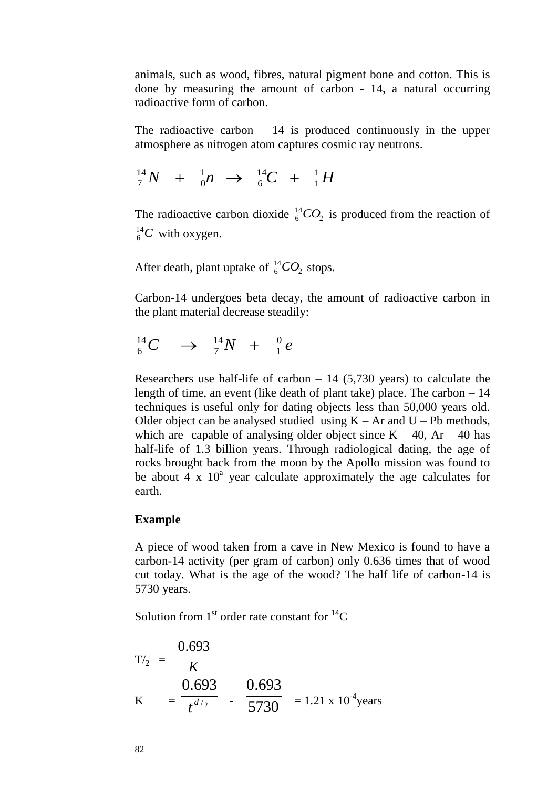animals, such as wood, fibres, natural pigment bone and cotton. This is done by measuring the amount of carbon - 14, a natural occurring radioactive form of carbon.

The radioactive carbon  $-14$  is produced continuously in the upper atmosphere as nitrogen atom captures cosmic ray neutrons.

$$
{}^{14}_{7}N + {}^{1}_{0}n \rightarrow {}^{14}_{6}C + {}^{1}_{1}H
$$

The radioactive carbon dioxide  ${}^{14}_{6}CO_2$  $^{14}_{6}CO_2$  is produced from the reaction of  $^{14}_{6}C$  $^{14}_{6}$ C with oxygen.

After death, plant uptake of  ${}^{14}_{6}CO_2$  $^{14}_{6}CO_2$  stops.

Carbon-14 undergoes beta decay, the amount of radioactive carbon in the plant material decrease steadily:

$$
{}^{14}_{6}C \quad \rightarrow \quad {}^{14}_{7}N \quad + \quad {}^{0}_{1}e
$$

Researchers use half-life of carbon  $-14$  (5,730 years) to calculate the length of time, an event (like death of plant take) place. The carbon – 14 techniques is useful only for dating objects less than 50,000 years old. Older object can be analysed studied using  $K - Ar$  and  $U - Pb$  methods, which are capable of analysing older object since  $K - 40$ , Ar – 40 has half-life of 1.3 billion years. Through radiological dating, the age of rocks brought back from the moon by the Apollo mission was found to be about  $4 \times 10^a$  year calculate approximately the age calculates for earth.

#### **Example**

A piece of wood taken from a cave in New Mexico is found to have a carbon-14 activity (per gram of carbon) only 0.636 times that of wood cut today. What is the age of the wood? The half life of carbon-14 is 5730 years.

Solution from  $1<sup>st</sup>$  order rate constant for  $<sup>14</sup>C$ </sup>

$$
T\prime_2 = \frac{0.693}{K}
$$
  
K =  $\frac{0.693}{t^{d/2}}$  -  $\frac{0.693}{5730}$  = 1.21 x 10<sup>-4</sup> years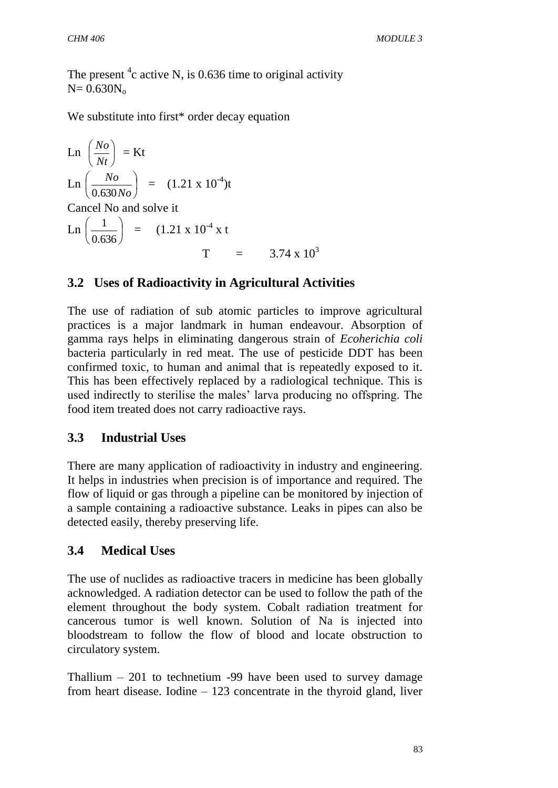The present  ${}^{4}c$  active N, is 0.636 time to original activity  $N= 0.630N_0$ 

We substitute into first\* order decay equation

Ln 
$$
\left(\frac{No}{Nt}\right)
$$
 = Kt  
\nLn  $\left(\frac{No}{0.630No}\right)$  = (1.21 x 10<sup>-4</sup>)t  
\nCancel No and solve it  
\nLn  $\left(\frac{1}{0.636}\right)$  = (1.21 x 10<sup>-4</sup> x t  
\nT = 3.74 x 10<sup>3</sup>

## **3.2 Uses of Radioactivity in Agricultural Activities**

The use of radiation of sub atomic particles to improve agricultural practices is a major landmark in human endeavour. Absorption of gamma rays helps in eliminating dangerous strain of *Ecoherichia coli* bacteria particularly in red meat. The use of pesticide DDT has been confirmed toxic, to human and animal that is repeatedly exposed to it. This has been effectively replaced by a radiological technique. This is used indirectly to sterilise the males' larva producing no offspring. The food item treated does not carry radioactive rays.

## **3.3 Industrial Uses**

There are many application of radioactivity in industry and engineering. It helps in industries when precision is of importance and required. The flow of liquid or gas through a pipeline can be monitored by injection of a sample containing a radioactive substance. Leaks in pipes can also be detected easily, thereby preserving life.

## **3.4 Medical Uses**

The use of nuclides as radioactive tracers in medicine has been globally acknowledged. A radiation detector can be used to follow the path of the element throughout the body system. Cobalt radiation treatment for cancerous tumor is well known. Solution of Na is injected into bloodstream to follow the flow of blood and locate obstruction to circulatory system.

Thallium  $-201$  to technetium -99 have been used to survey damage from heart disease. Iodine – 123 concentrate in the thyroid gland, liver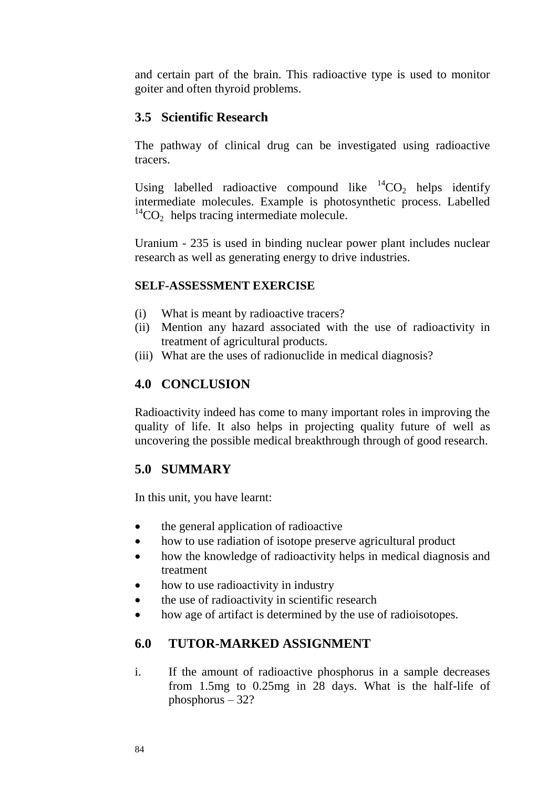and certain part of the brain. This radioactive type is used to monitor goiter and often thyroid problems.

#### **3.5 Scientific Research**

The pathway of clinical drug can be investigated using radioactive tracers.

Using labelled radioactive compound like  ${}^{14}CO_2$  helps identify intermediate molecules. Example is photosynthetic process. Labelled  $^{14}CO<sub>2</sub>$  helps tracing intermediate molecule.

Uranium - 235 is used in binding nuclear power plant includes nuclear research as well as generating energy to drive industries.

#### **SELF-ASSESSMENT EXERCISE**

- (i) What is meant by radioactive tracers?
- (ii) Mention any hazard associated with the use of radioactivity in treatment of agricultural products.
- (iii) What are the uses of radionuclide in medical diagnosis?

#### **4.0 CONCLUSION**

Radioactivity indeed has come to many important roles in improving the quality of life. It also helps in projecting quality future of well as uncovering the possible medical breakthrough through of good research.

#### **5.0 SUMMARY**

In this unit, you have learnt:

- the general application of radioactive
- how to use radiation of isotope preserve agricultural product
- how the knowledge of radioactivity helps in medical diagnosis and treatment
- how to use radioactivity in industry
- the use of radioactivity in scientific research
- how age of artifact is determined by the use of radioisotopes.

#### **6.0 TUTOR-MARKED ASSIGNMENT**

i. If the amount of radioactive phosphorus in a sample decreases from 1.5mg to 0.25mg in 28 days. What is the half-life of phosphorus – 32?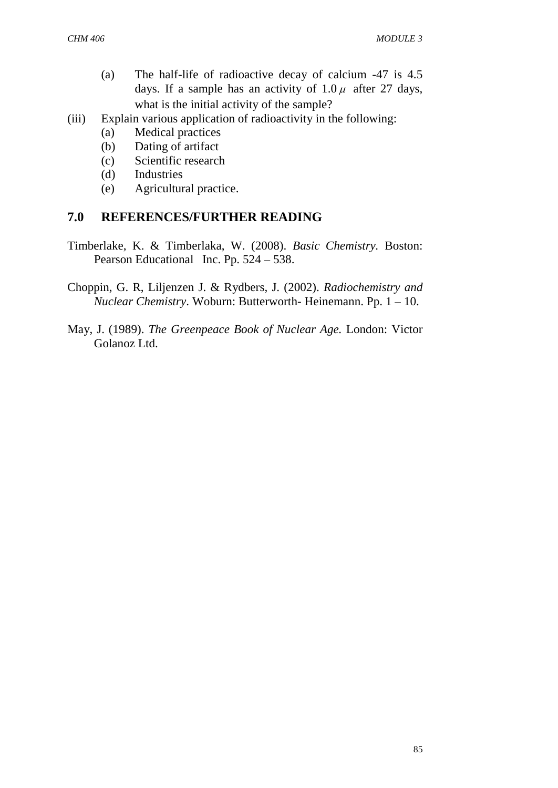- (a) The half-life of radioactive decay of calcium -47 is 4.5 days. If a sample has an activity of  $1.0 \mu$  after 27 days, what is the initial activity of the sample?
- (iii) Explain various application of radioactivity in the following:
	- (a) Medical practices
	- (b) Dating of artifact
	- (c) Scientific research
	- (d) Industries
	- (e) Agricultural practice.

#### **7.0 REFERENCES/FURTHER READING**

- Timberlake, K. & Timberlaka, W. (2008). *Basic Chemistry.* Boston: Pearson Educational Inc. Pp. 524 – 538.
- Choppin, G. R, Liljenzen J. & Rydbers, J. (2002). *Radiochemistry and Nuclear Chemistry*. Woburn: Butterworth- Heinemann. Pp. 1 – 10.
- May, J. (1989). *The Greenpeace Book of Nuclear Age.* London: Victor Golanoz Ltd.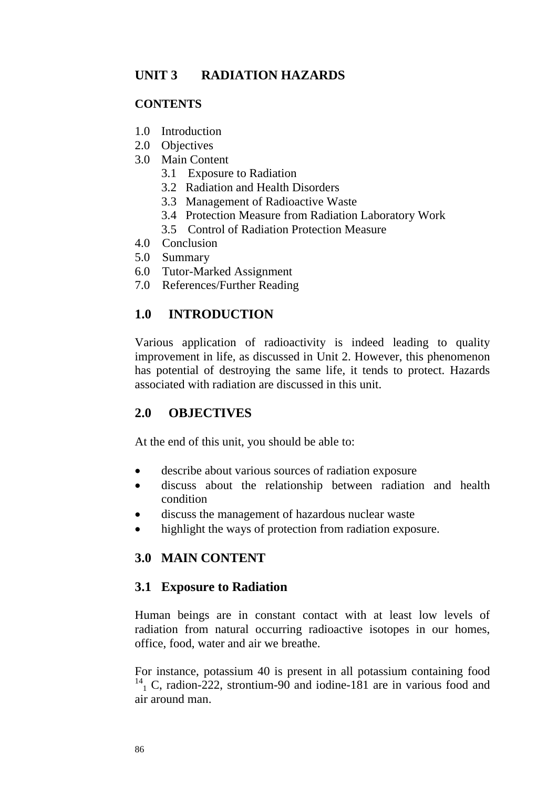## **UNIT 3 RADIATION HAZARDS**

#### **CONTENTS**

- 1.0 Introduction
- 2.0 Objectives
- 3.0 Main Content
	- 3.1 Exposure to Radiation
	- 3.2 Radiation and Health Disorders
	- 3.3 Management of Radioactive Waste
	- 3.4 Protection Measure from Radiation Laboratory Work
	- 3.5 Control of Radiation Protection Measure
- 4.0 Conclusion
- 5.0 Summary
- 6.0 Tutor-Marked Assignment
- 7.0 References/Further Reading

## **1.0 INTRODUCTION**

Various application of radioactivity is indeed leading to quality improvement in life, as discussed in Unit 2. However, this phenomenon has potential of destroying the same life, it tends to protect. Hazards associated with radiation are discussed in this unit.

## **2.0 OBJECTIVES**

At the end of this unit, you should be able to:

- describe about various sources of radiation exposure
- discuss about the relationship between radiation and health condition
- discuss the management of hazardous nuclear waste
- highlight the ways of protection from radiation exposure.

## **3.0 MAIN CONTENT**

## **3.1 Exposure to Radiation**

Human beings are in constant contact with at least low levels of radiation from natural occurring radioactive isotopes in our homes, office, food, water and air we breathe.

For instance, potassium 40 is present in all potassium containing food  $^{14}$ <sub>1</sub> C, radion-222, strontium-90 and iodine-181 are in various food and air around man.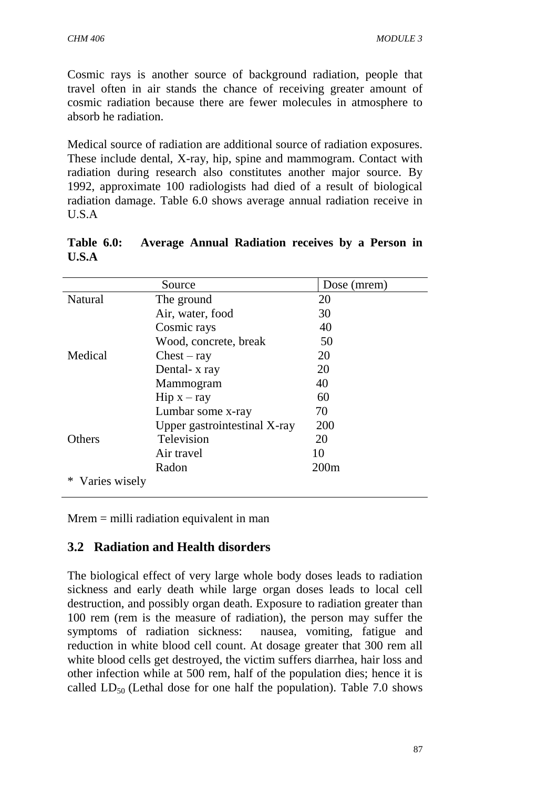Cosmic rays is another source of background radiation, people that travel often in air stands the chance of receiving greater amount of cosmic radiation because there are fewer molecules in atmosphere to absorb he radiation.

Medical source of radiation are additional source of radiation exposures. These include dental, X-ray, hip, spine and mammogram. Contact with radiation during research also constitutes another major source. By 1992, approximate 100 radiologists had died of a result of biological radiation damage. Table 6.0 shows average annual radiation receive in U.S.A

|               | Source                          | Dose (mrem) |
|---------------|---------------------------------|-------------|
|               |                                 |             |
| Natural       | The ground                      | 20          |
|               | Air, water, food                | 30          |
| Medical       | Cosmic rays                     | 40          |
|               | Wood, concrete, break           | 50          |
|               | $Check - ray$                   | 20          |
|               | Dental- x ray                   | 20          |
|               | Mammogram                       | 40          |
|               | $\text{Hip} \times -\text{ray}$ | 60          |
|               | Lumbar some x-ray               | 70          |
|               | Upper gastrointestinal X-ray    | 200         |
| Others        | Television                      | 20          |
|               | Air travel                      | 10          |
|               | Radon                           | 200m        |
| Varies wisely |                                 |             |

**Table 6.0: Average Annual Radiation receives by a Person in U.S.A**

Mrem = milli radiation equivalent in man

# **3.2 Radiation and Health disorders**

The biological effect of very large whole body doses leads to radiation sickness and early death while large organ doses leads to local cell destruction, and possibly organ death. Exposure to radiation greater than 100 rem (rem is the measure of radiation), the person may suffer the symptoms of radiation sickness: nausea, vomiting, fatigue and reduction in white blood cell count. At dosage greater that 300 rem all white blood cells get destroyed, the victim suffers diarrhea, hair loss and other infection while at 500 rem, half of the population dies; hence it is called  $LD_{50}$  (Lethal dose for one half the population). Table 7.0 shows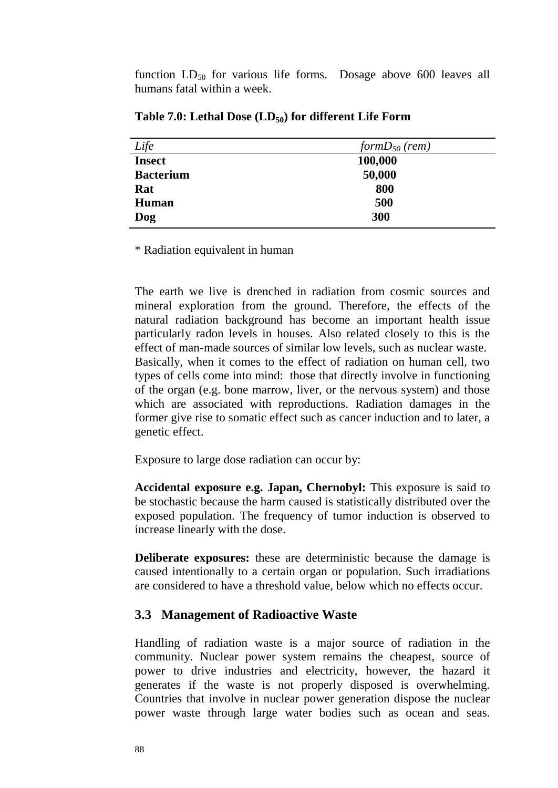function  $LD_{50}$  for various life forms. Dosage above 600 leaves all humans fatal within a week.

| Life             | formD <sub>50</sub> (rem) |  |
|------------------|---------------------------|--|
| <b>Insect</b>    | 100,000                   |  |
| <b>Bacterium</b> | 50,000                    |  |
| Rat              | 800                       |  |
| <b>Human</b>     | 500                       |  |
| Dog              | 300                       |  |

**Table 7.0: Lethal Dose (LD50) for different Life Form**

\* Radiation equivalent in human

The earth we live is drenched in radiation from cosmic sources and mineral exploration from the ground. Therefore, the effects of the natural radiation background has become an important health issue particularly radon levels in houses. Also related closely to this is the effect of man-made sources of similar low levels, such as nuclear waste. Basically, when it comes to the effect of radiation on human cell, two types of cells come into mind: those that directly involve in functioning of the organ (e.g. bone marrow, liver, or the nervous system) and those which are associated with reproductions. Radiation damages in the former give rise to somatic effect such as cancer induction and to later, a genetic effect.

Exposure to large dose radiation can occur by:

**Accidental exposure e.g. Japan, Chernobyl:** This exposure is said to be stochastic because the harm caused is statistically distributed over the exposed population. The frequency of tumor induction is observed to increase linearly with the dose.

**Deliberate exposures:** these are deterministic because the damage is caused intentionally to a certain organ or population. Such irradiations are considered to have a threshold value, below which no effects occur.

#### **3.3 Management of Radioactive Waste**

Handling of radiation waste is a major source of radiation in the community. Nuclear power system remains the cheapest, source of power to drive industries and electricity, however, the hazard it generates if the waste is not properly disposed is overwhelming. Countries that involve in nuclear power generation dispose the nuclear power waste through large water bodies such as ocean and seas.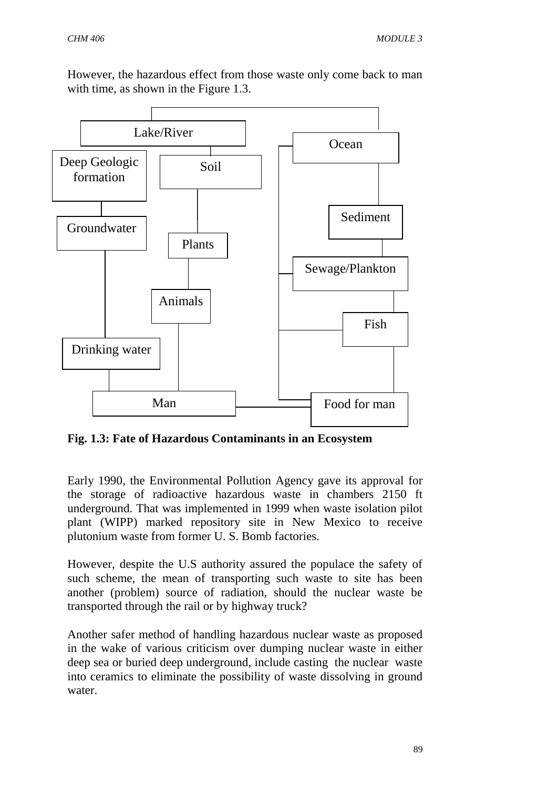However, the hazardous effect from those waste only come back to man with time, as shown in the Figure 1.3.



**Fig. 1.3: Fate of Hazardous Contaminants in an Ecosystem** 

Early 1990, the Environmental Pollution Agency gave its approval for the storage of radioactive hazardous waste in chambers 2150 ft underground. That was implemented in 1999 when waste isolation pilot plant (WIPP) marked repository site in New Mexico to receive plutonium waste from former U. S. Bomb factories.

However, despite the U.S authority assured the populace the safety of such scheme, the mean of transporting such waste to site has been another (problem) source of radiation, should the nuclear waste be transported through the rail or by highway truck?

Another safer method of handling hazardous nuclear waste as proposed in the wake of various criticism over dumping nuclear waste in either deep sea or buried deep underground, include casting the nuclear waste into ceramics to eliminate the possibility of waste dissolving in ground water.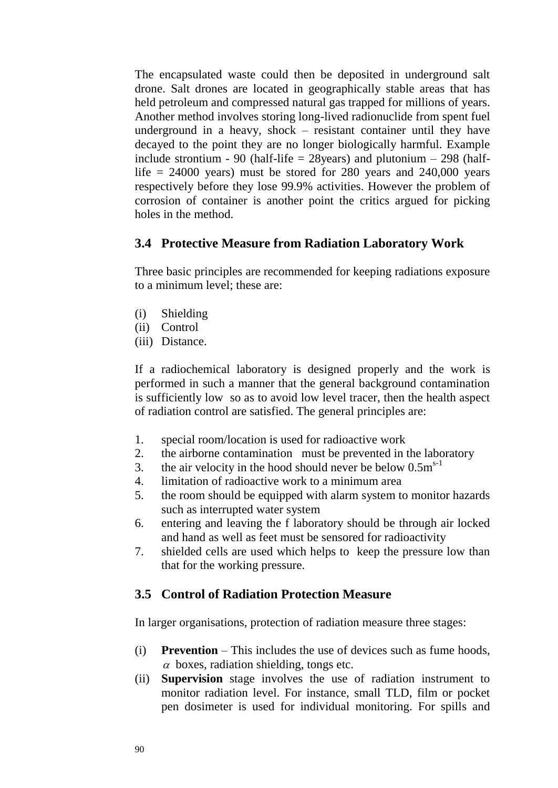The encapsulated waste could then be deposited in underground salt drone. Salt drones are located in geographically stable areas that has held petroleum and compressed natural gas trapped for millions of years. Another method involves storing long-lived radionuclide from spent fuel underground in a heavy, shock – resistant container until they have decayed to the point they are no longer biologically harmful. Example include strontium - 90 (half-life  $=$  28years) and plutonium  $-$  298 (halflife  $= 24000$  years) must be stored for 280 years and 240,000 years respectively before they lose 99.9% activities. However the problem of corrosion of container is another point the critics argued for picking holes in the method.

## **3.4 Protective Measure from Radiation Laboratory Work**

Three basic principles are recommended for keeping radiations exposure to a minimum level; these are:

- (i) Shielding
- (ii) Control
- (iii) Distance.

If a radiochemical laboratory is designed properly and the work is performed in such a manner that the general background contamination is sufficiently low so as to avoid low level tracer, then the health aspect of radiation control are satisfied. The general principles are:

- 1. special room/location is used for radioactive work
- 2. the airborne contamination must be prevented in the laboratory
- 3. the air velocity in the hood should never be below  $0.5 \text{m}^{s-1}$
- 4. limitation of radioactive work to a minimum area
- 5. the room should be equipped with alarm system to monitor hazards such as interrupted water system
- 6. entering and leaving the f laboratory should be through air locked and hand as well as feet must be sensored for radioactivity
- 7. shielded cells are used which helps to keep the pressure low than that for the working pressure.

# **3.5 Control of Radiation Protection Measure**

In larger organisations, protection of radiation measure three stages:

- (i) **Prevention** This includes the use of devices such as fume hoods,  $\alpha$  boxes, radiation shielding, tongs etc.
- (ii) **Supervision** stage involves the use of radiation instrument to monitor radiation level. For instance, small TLD, film or pocket pen dosimeter is used for individual monitoring. For spills and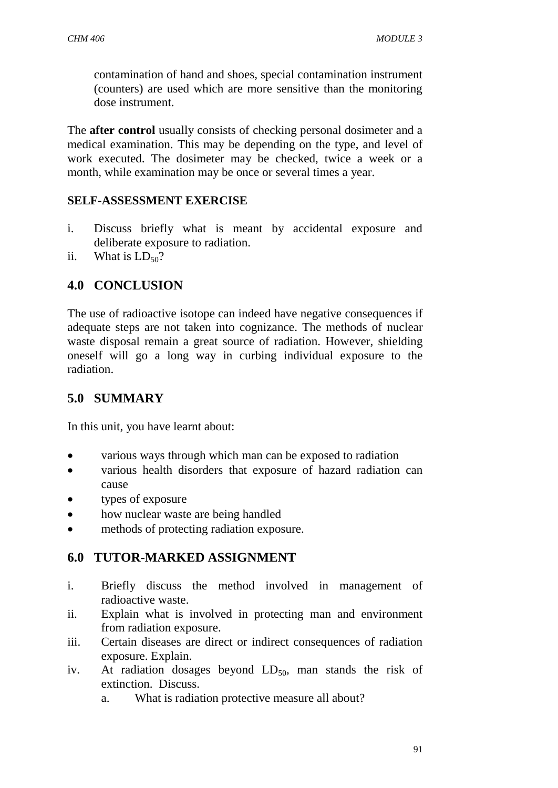contamination of hand and shoes, special contamination instrument (counters) are used which are more sensitive than the monitoring dose instrument.

The **after control** usually consists of checking personal dosimeter and a medical examination. This may be depending on the type, and level of work executed. The dosimeter may be checked, twice a week or a month, while examination may be once or several times a year.

#### **SELF-ASSESSMENT EXERCISE**

- i. Discuss briefly what is meant by accidental exposure and deliberate exposure to radiation.
- ii. What is  $LD_{50}$ ?

## **4.0 CONCLUSION**

The use of radioactive isotope can indeed have negative consequences if adequate steps are not taken into cognizance. The methods of nuclear waste disposal remain a great source of radiation. However, shielding oneself will go a long way in curbing individual exposure to the radiation.

# **5.0 SUMMARY**

In this unit, you have learnt about:

- various ways through which man can be exposed to radiation
- various health disorders that exposure of hazard radiation can cause
- types of exposure
- how nuclear waste are being handled
- methods of protecting radiation exposure.

## **6.0 TUTOR-MARKED ASSIGNMENT**

- i. Briefly discuss the method involved in management of radioactive waste.
- ii. Explain what is involved in protecting man and environment from radiation exposure.
- iii. Certain diseases are direct or indirect consequences of radiation exposure. Explain.
- iv. At radiation dosages beyond  $LD_{50}$ , man stands the risk of extinction. Discuss.
	- a. What is radiation protective measure all about?